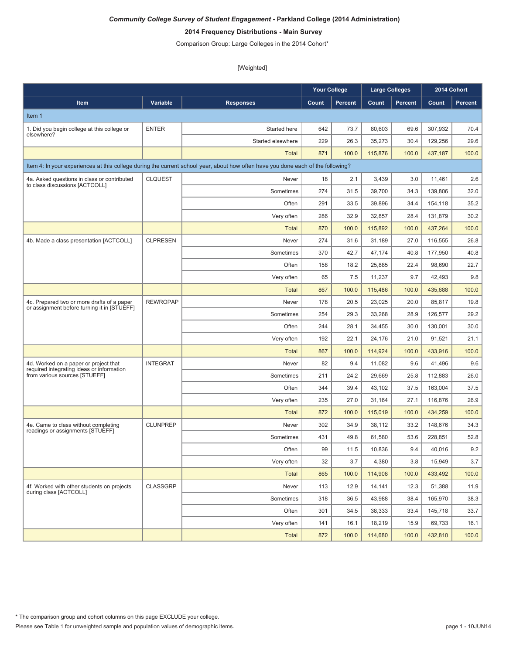# **2014 Frequency Distributions - Main Survey**

Comparison Group: Large Colleges in the 2014 Cohort\*

|                                                                                           |                 |                                                                                                                                  | <b>Your College</b> |                | <b>Large Colleges</b> |                | 2014 Cohort |                |
|-------------------------------------------------------------------------------------------|-----------------|----------------------------------------------------------------------------------------------------------------------------------|---------------------|----------------|-----------------------|----------------|-------------|----------------|
| Item                                                                                      | Variable        | <b>Responses</b>                                                                                                                 | Count               | <b>Percent</b> | Count                 | <b>Percent</b> | Count       | <b>Percent</b> |
| Item 1                                                                                    |                 |                                                                                                                                  |                     |                |                       |                |             |                |
| 1. Did you begin college at this college or                                               | <b>ENTER</b>    | Started here                                                                                                                     | 642                 | 73.7           | 80,603                | 69.6           | 307,932     | 70.4           |
| elsewhere?                                                                                |                 | Started elsewhere                                                                                                                | 229                 | 26.3           | 35,273                | 30.4           | 129,256     | 29.6           |
|                                                                                           |                 | Total                                                                                                                            | 871                 | 100.0          | 115,876               | 100.0          | 437,187     | 100.0          |
|                                                                                           |                 | Item 4: In your experiences at this college during the current school year, about how often have you done each of the following? |                     |                |                       |                |             |                |
| 4a. Asked questions in class or contributed<br>to class discussions [ACTCOLL]             | CLQUEST         | Never                                                                                                                            | 18                  | 2.1            | 3,439                 | 3.0            | 11,461      | 2.6            |
|                                                                                           |                 | Sometimes                                                                                                                        | 274                 | 31.5           | 39,700                | 34.3           | 139,806     | 32.0           |
|                                                                                           |                 | Often                                                                                                                            | 291                 | 33.5           | 39,896                | 34.4           | 154,118     | 35.2           |
|                                                                                           |                 | Very often                                                                                                                       | 286                 | 32.9           | 32,857                | 28.4           | 131,879     | 30.2           |
|                                                                                           |                 | <b>Total</b>                                                                                                                     | 870                 | 100.0          | 115,892               | 100.0          | 437,264     | 100.0          |
| 4b. Made a class presentation [ACTCOLL]                                                   | <b>CLPRESEN</b> | Never                                                                                                                            | 274                 | 31.6           | 31,189                | 27.0           | 116,555     | 26.8           |
|                                                                                           |                 | Sometimes                                                                                                                        | 370                 | 42.7           | 47,174                | 40.8           | 177,950     | 40.8           |
|                                                                                           |                 | Often                                                                                                                            | 158                 | 18.2           | 25,885                | 22.4           | 98,690      | 22.7           |
|                                                                                           |                 | Very often                                                                                                                       | 65                  | 7.5            | 11,237                | 9.7            | 42,493      | 9.8            |
|                                                                                           |                 | <b>Total</b>                                                                                                                     | 867                 | 100.0          | 115,486               | 100.0          | 435,688     | 100.0          |
| 4c. Prepared two or more drafts of a paper<br>or assignment before turning it in [STUEFF] | <b>REWROPAP</b> | Never                                                                                                                            | 178                 | 20.5           | 23,025                | 20.0           | 85.817      | 19.8           |
|                                                                                           |                 | Sometimes                                                                                                                        | 254                 | 29.3           | 33,268                | 28.9           | 126.577     | 29.2           |
|                                                                                           |                 | Often                                                                                                                            | 244                 | 28.1           | 34,455                | 30.0           | 130,001     | 30.0           |
|                                                                                           |                 | Very often                                                                                                                       | 192                 | 22.1           | 24,176                | 21.0           | 91,521      | 21.1           |
|                                                                                           |                 | <b>Total</b>                                                                                                                     | 867                 | 100.0          | 114,924               | 100.0          | 433,916     | 100.0          |
| 4d. Worked on a paper or project that<br>required integrating ideas or information        | <b>INTEGRAT</b> | Never                                                                                                                            | 82                  | 9.4            | 11,082                | 9.6            | 41,496      | 9.6            |
| from various sources [STUEFF]                                                             |                 | Sometimes                                                                                                                        | 211                 | 24.2           | 29,669                | 25.8           | 112,883     | 26.0           |
|                                                                                           |                 | Often                                                                                                                            | 344                 | 39.4           | 43,102                | 37.5           | 163,004     | 37.5           |
|                                                                                           |                 | Very often                                                                                                                       | 235                 | 27.0           | 31,164                | 27.1           | 116,876     | 26.9           |
|                                                                                           |                 | Total                                                                                                                            | 872                 | 100.0          | 115,019               | 100.0          | 434.259     | 100.0          |
| 4e. Came to class without completing<br>readings or assignments [STUEFF]                  | <b>CLUNPREP</b> | Never                                                                                                                            | 302                 | 34.9           | 38,112                | 33.2           | 148,676     | 34.3           |
|                                                                                           |                 | Sometimes                                                                                                                        | 431                 | 49.8           | 61,580                | 53.6           | 228,851     | 52.8           |
|                                                                                           |                 | Often                                                                                                                            | 99                  | 11.5           | 10,836                | 9.4            | 40,016      | 9.2            |
|                                                                                           |                 | Very often                                                                                                                       | 32                  | 3.7            | 4,380                 | 3.8            | 15,949      | 3.7            |
|                                                                                           |                 | <b>Total</b>                                                                                                                     | 865                 | 100.0          | 114,908               | 100.0          | 433,492     | 100.0          |
| 4f. Worked with other students on projects<br>during class [ACTCOLL]                      | <b>CLASSGRP</b> | Never                                                                                                                            | 113                 | 12.9           | 14,141                | 12.3           | 51,388      | 11.9           |
|                                                                                           |                 | Sometimes                                                                                                                        | 318                 | 36.5           | 43,988                | 38.4           | 165,970     | 38.3           |
|                                                                                           |                 | Often                                                                                                                            | 301                 | 34.5           | 38,333                | 33.4           | 145,718     | 33.7           |
|                                                                                           |                 | Very often                                                                                                                       | 141                 | 16.1           | 18,219                | 15.9           | 69,733      | 16.1           |
|                                                                                           |                 | <b>Total</b>                                                                                                                     | 872                 | 100.0          | 114,680               | 100.0          | 432,810     | 100.0          |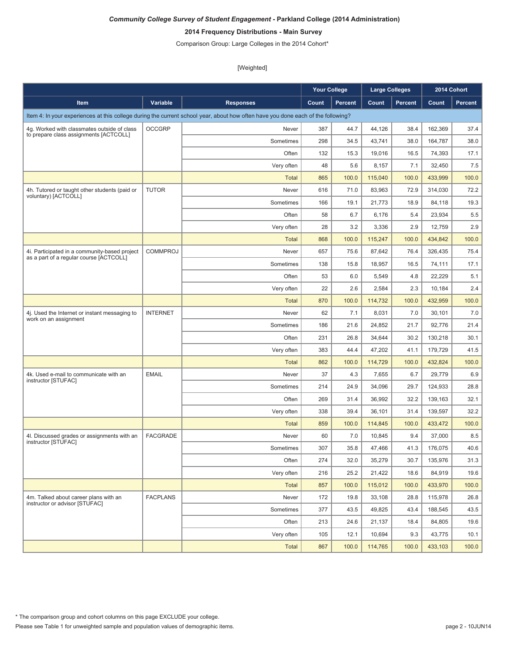# **2014 Frequency Distributions - Main Survey**

Comparison Group: Large Colleges in the 2014 Cohort\*

|                                                                                          |                 |                                                                                                                                  | <b>Your College</b> |                | <b>Large Colleges</b> |                | 2014 Cohort |         |
|------------------------------------------------------------------------------------------|-----------------|----------------------------------------------------------------------------------------------------------------------------------|---------------------|----------------|-----------------------|----------------|-------------|---------|
| Item                                                                                     | Variable        | <b>Responses</b>                                                                                                                 | Count               | <b>Percent</b> | Count                 | <b>Percent</b> | Count       | Percent |
|                                                                                          |                 | Item 4: In your experiences at this college during the current school year, about how often have you done each of the following? |                     |                |                       |                |             |         |
| 4g. Worked with classmates outside of class                                              | <b>OCCGRP</b>   | Never                                                                                                                            | 387                 | 44.7           | 44,126                | 38.4           | 162,369     | 37.4    |
| to prepare class assignments [ACTCOLL]                                                   |                 | Sometimes                                                                                                                        | 298                 | 34.5           | 43,741                | 38.0           | 164.787     | 38.0    |
|                                                                                          |                 | Often                                                                                                                            | 132                 | 15.3           | 19,016                | 16.5           | 74,393      | 17.1    |
|                                                                                          |                 | Very often                                                                                                                       | 48                  | 5.6            | 8,157                 | 7.1            | 32,450      | 7.5     |
|                                                                                          |                 | <b>Total</b>                                                                                                                     | 865                 | 100.0          | 115,040               | 100.0          | 433,999     | 100.0   |
| 4h. Tutored or taught other students (paid or                                            | <b>TUTOR</b>    | Never                                                                                                                            | 616                 | 71.0           | 83,963                | 72.9           | 314,030     | 72.2    |
| voluntary) [ACTCOLL]                                                                     |                 | Sometimes                                                                                                                        | 166                 | 19.1           | 21,773                | 18.9           | 84,118      | 19.3    |
|                                                                                          |                 | Often                                                                                                                            | 58                  | 6.7            | 6,176                 | 5.4            | 23,934      | 5.5     |
|                                                                                          |                 | Very often                                                                                                                       | 28                  | 3.2            | 3,336                 | 2.9            | 12,759      | 2.9     |
|                                                                                          |                 | <b>Total</b>                                                                                                                     | 868                 | 100.0          | 115,247               | 100.0          | 434,842     | 100.0   |
| 4i. Participated in a community-based project<br>as a part of a regular course [ACTCOLL] | <b>COMMPROJ</b> | Never                                                                                                                            | 657                 | 75.6           | 87,642                | 76.4           | 326.435     | 75.4    |
|                                                                                          |                 | Sometimes                                                                                                                        | 138                 | 15.8           | 18,957                | 16.5           | 74,111      | 17.1    |
|                                                                                          |                 | Often                                                                                                                            | 53                  | 6.0            | 5,549                 | 4.8            | 22,229      | 5.1     |
|                                                                                          |                 | Very often                                                                                                                       | 22                  | 2.6            | 2,584                 | 2.3            | 10,184      | 2.4     |
|                                                                                          |                 | <b>Total</b>                                                                                                                     | 870                 | 100.0          | 114,732               | 100.0          | 432,959     | 100.0   |
| 4j. Used the Internet or instant messaging to<br>work on an assignment                   | <b>INTERNET</b> | Never                                                                                                                            | 62                  | 7.1            | 8,031                 | 7.0            | 30,101      | 7.0     |
|                                                                                          |                 | Sometimes                                                                                                                        | 186                 | 21.6           | 24,852                | 21.7           | 92,776      | 21.4    |
|                                                                                          |                 | Often                                                                                                                            | 231                 | 26.8           | 34,644                | 30.2           | 130,218     | 30.1    |
|                                                                                          |                 | Very often                                                                                                                       | 383                 | 44.4           | 47,202                | 41.1           | 179,729     | 41.5    |
|                                                                                          |                 | <b>Total</b>                                                                                                                     | 862                 | 100.0          | 114,729               | 100.0          | 432,824     | 100.0   |
| 4k. Used e-mail to communicate with an<br>instructor [STUFAC]                            | <b>EMAIL</b>    | Never                                                                                                                            | 37                  | 4.3            | 7,655                 | 6.7            | 29,779      | 6.9     |
|                                                                                          |                 | Sometimes                                                                                                                        | 214                 | 24.9           | 34,096                | 29.7           | 124,933     | 28.8    |
|                                                                                          |                 | Often                                                                                                                            | 269                 | 31.4           | 36,992                | 32.2           | 139,163     | 32.1    |
|                                                                                          |                 | Very often                                                                                                                       | 338                 | 39.4           | 36,101                | 31.4           | 139,597     | 32.2    |
|                                                                                          |                 | <b>Total</b>                                                                                                                     | 859                 | 100.0          | 114,845               | 100.0          | 433,472     | 100.0   |
| 4l. Discussed grades or assignments with an<br>instructor [STUFAC]                       | <b>FACGRADE</b> | Never                                                                                                                            | 60                  | 7.0            | 10,845                | 9.4            | 37,000      | 8.5     |
|                                                                                          |                 | Sometimes                                                                                                                        | 307                 | 35.8           | 47,466                | 41.3           | 176,075     | 40.6    |
|                                                                                          |                 | Often                                                                                                                            | 274                 | 32.0           | 35,279                | 30.7           | 135,976     | 31.3    |
|                                                                                          |                 | Very often                                                                                                                       | 216                 | 25.2           | 21,422                | 18.6           | 84,919      | 19.6    |
|                                                                                          |                 | <b>Total</b>                                                                                                                     | 857                 | 100.0          | 115,012               | 100.0          | 433,970     | 100.0   |
| 4m. Talked about career plans with an<br>instructor or advisor [STUFAC]                  | <b>FACPLANS</b> | Never                                                                                                                            | 172                 | 19.8           | 33,108                | 28.8           | 115,978     | 26.8    |
|                                                                                          |                 | Sometimes                                                                                                                        | 377                 | 43.5           | 49,825                | 43.4           | 188,545     | 43.5    |
|                                                                                          |                 | Often                                                                                                                            | 213                 | 24.6           | 21,137                | 18.4           | 84,805      | 19.6    |
|                                                                                          |                 | Very often                                                                                                                       | 105                 | 12.1           | 10,694                | 9.3            | 43,775      | 10.1    |
|                                                                                          |                 | Total                                                                                                                            | 867                 | 100.0          | 114,765               | 100.0          | 433,103     | 100.0   |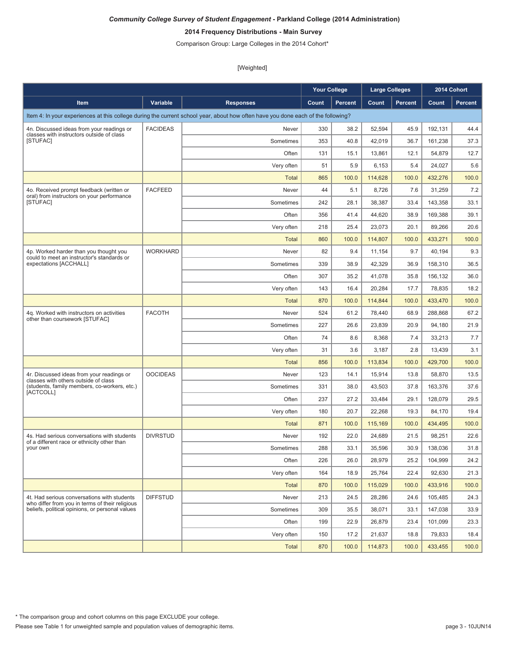# **2014 Frequency Distributions - Main Survey**

Comparison Group: Large Colleges in the 2014 Cohort\*

|                                                                                                |                 |                                                                                                                                  | <b>Your College</b> |                | <b>Large Colleges</b> |                | 2014 Cohort |         |
|------------------------------------------------------------------------------------------------|-----------------|----------------------------------------------------------------------------------------------------------------------------------|---------------------|----------------|-----------------------|----------------|-------------|---------|
| Item                                                                                           | Variable        | <b>Responses</b>                                                                                                                 | Count               | <b>Percent</b> | Count                 | <b>Percent</b> | Count       | Percent |
|                                                                                                |                 | Item 4: In your experiences at this college during the current school year, about how often have you done each of the following? |                     |                |                       |                |             |         |
| 4n. Discussed ideas from your readings or                                                      | <b>FACIDEAS</b> | Never                                                                                                                            | 330                 | 38.2           | 52,594                | 45.9           | 192,131     | 44.4    |
| classes with instructors outside of class<br>[STUFAC]                                          |                 | Sometimes                                                                                                                        | 353                 | 40.8           | 42,019                | 36.7           | 161,238     | 37.3    |
|                                                                                                |                 | Often                                                                                                                            | 131                 | 15.1           | 13,861                | 12.1           | 54,879      | 12.7    |
|                                                                                                |                 | Very often                                                                                                                       | 51                  | 5.9            | 6,153                 | 5.4            | 24,027      | 5.6     |
|                                                                                                |                 | <b>Total</b>                                                                                                                     | 865                 | 100.0          | 114,628               | 100.0          | 432,276     | 100.0   |
| 4o. Received prompt feedback (written or                                                       | <b>FACFEED</b>  | Never                                                                                                                            | 44                  | 5.1            | 8,726                 | 7.6            | 31,259      | 7.2     |
| oral) from instructors on your performance<br>[STUFAC]                                         |                 | Sometimes                                                                                                                        | 242                 | 28.1           | 38,387                | 33.4           | 143,358     | 33.1    |
|                                                                                                |                 | Often                                                                                                                            | 356                 | 41.4           | 44,620                | 38.9           | 169,388     | 39.1    |
|                                                                                                |                 | Very often                                                                                                                       | 218                 | 25.4           | 23,073                | 20.1           | 89,266      | 20.6    |
|                                                                                                |                 | <b>Total</b>                                                                                                                     | 860                 | 100.0          | 114,807               | 100.0          | 433,271     | 100.0   |
| 4p. Worked harder than you thought you<br>could to meet an instructor's standards or           | <b>WORKHARD</b> | Never                                                                                                                            | 82                  | 9.4            | 11,154                | 9.7            | 40,194      | 9.3     |
| expectations [ACCHALL]                                                                         |                 | Sometimes                                                                                                                        | 339                 | 38.9           | 42,329                | 36.9           | 158,310     | 36.5    |
|                                                                                                |                 | Often                                                                                                                            | 307                 | 35.2           | 41,078                | 35.8           | 156.132     | 36.0    |
|                                                                                                |                 | Very often                                                                                                                       | 143                 | 16.4           | 20,284                | 17.7           | 78,835      | 18.2    |
|                                                                                                |                 | <b>Total</b>                                                                                                                     | 870                 | 100.0          | 114.844               | 100.0          | 433,470     | 100.0   |
| 4g. Worked with instructors on activities<br>other than coursework [STUFAC]                    | <b>FACOTH</b>   | Never                                                                                                                            | 524                 | 61.2           | 78,440                | 68.9           | 288,868     | 67.2    |
|                                                                                                |                 | Sometimes                                                                                                                        | 227                 | 26.6           | 23,839                | 20.9           | 94,180      | 21.9    |
|                                                                                                |                 | Often                                                                                                                            | 74                  | 8.6            | 8,368                 | 7.4            | 33,213      | 7.7     |
|                                                                                                |                 | Very often                                                                                                                       | 31                  | 3.6            | 3,187                 | 2.8            | 13,439      | 3.1     |
|                                                                                                |                 | <b>Total</b>                                                                                                                     | 856                 | 100.0          | 113,834               | 100.0          | 429,700     | 100.0   |
| 4r. Discussed ideas from your readings or<br>classes with others outside of class              | <b>OOCIDEAS</b> | Never                                                                                                                            | 123                 | 14.1           | 15,914                | 13.8           | 58,870      | 13.5    |
| (students, family members, co-workers, etc.)<br>[ACTCOLL]                                      |                 | Sometimes                                                                                                                        | 331                 | 38.0           | 43,503                | 37.8           | 163,376     | 37.6    |
|                                                                                                |                 | Often                                                                                                                            | 237                 | 27.2           | 33,484                | 29.1           | 128,079     | 29.5    |
|                                                                                                |                 | Very often                                                                                                                       | 180                 | 20.7           | 22,268                | 19.3           | 84,170      | 19.4    |
|                                                                                                |                 | <b>Total</b>                                                                                                                     | 871                 | 100.0          | 115,169               | 100.0          | 434,495     | 100.0   |
| 4s. Had serious conversations with students<br>of a different race or ethnicity other than     | <b>DIVRSTUD</b> | Never                                                                                                                            | 192                 | 22.0           | 24,689                | 21.5           | 98,251      | 22.6    |
| your own                                                                                       |                 | Sometimes                                                                                                                        | 288                 | 33.1           | 35,596                | 30.9           | 138,036     | 31.8    |
|                                                                                                |                 | Often                                                                                                                            | 226                 | 26.0           | 28,979                | 25.2           | 104,999     | 24.2    |
|                                                                                                |                 | Very often                                                                                                                       | 164                 | 18.9           | 25,764                | 22.4           | 92,630      | 21.3    |
|                                                                                                |                 | <b>Total</b>                                                                                                                     | 870                 | 100.0          | 115,029               | 100.0          | 433,916     | 100.0   |
| 4t. Had serious conversations with students<br>who differ from you in terms of their religious | <b>DIFFSTUD</b> | Never                                                                                                                            | 213                 | 24.5           | 28,286                | 24.6           | 105,485     | 24.3    |
| beliefs, political opinions, or personal values                                                |                 | Sometimes                                                                                                                        | 309                 | 35.5           | 38,071                | 33.1           | 147,038     | 33.9    |
|                                                                                                |                 | Often                                                                                                                            | 199                 | 22.9           | 26,879                | 23.4           | 101,099     | 23.3    |
|                                                                                                |                 | Very often                                                                                                                       | 150                 | 17.2           | 21,637                | 18.8           | 79,833      | 18.4    |
|                                                                                                |                 | <b>Total</b>                                                                                                                     | 870                 | 100.0          | 114,873               | 100.0          | 433,455     | 100.0   |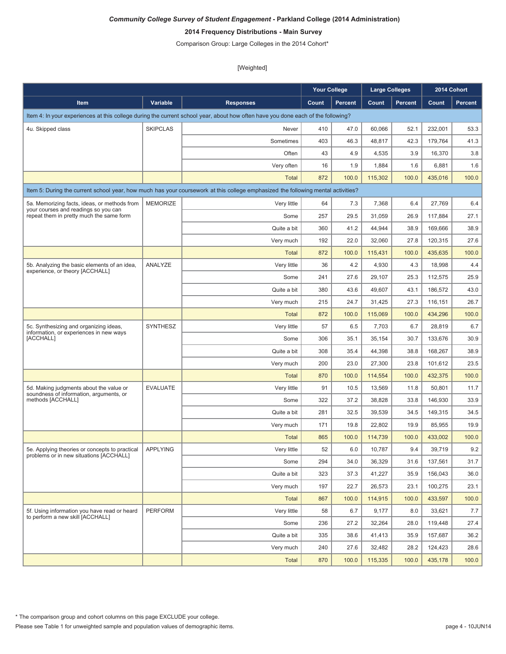# **2014 Frequency Distributions - Main Survey**

Comparison Group: Large Colleges in the 2014 Cohort\*

|                                                                                           |                 |                                                                                                                                  | <b>Your College</b> |                | <b>Large Colleges</b> |                |         | 2014 Cohort |
|-------------------------------------------------------------------------------------------|-----------------|----------------------------------------------------------------------------------------------------------------------------------|---------------------|----------------|-----------------------|----------------|---------|-------------|
| Item                                                                                      | Variable        | <b>Responses</b>                                                                                                                 | Count               | <b>Percent</b> | Count                 | <b>Percent</b> | Count   | Percent     |
|                                                                                           |                 | Item 4: In your experiences at this college during the current school year, about how often have you done each of the following? |                     |                |                       |                |         |             |
| 4u. Skipped class                                                                         | <b>SKIPCLAS</b> | Never                                                                                                                            | 410                 | 47.0           | 60,066                | 52.1           | 232,001 | 53.3        |
|                                                                                           |                 | Sometimes                                                                                                                        | 403                 | 46.3           | 48,817                | 42.3           | 179,764 | 41.3        |
|                                                                                           |                 | Often                                                                                                                            | 43                  | 4.9            | 4,535                 | 3.9            | 16,370  | 3.8         |
|                                                                                           |                 | Very often                                                                                                                       | 16                  | 1.9            | 1,884                 | 1.6            | 6,881   | 1.6         |
|                                                                                           |                 | <b>Total</b>                                                                                                                     | 872                 | 100.0          | 115,302               | 100.0          | 435,016 | 100.0       |
|                                                                                           |                 | Item 5: During the current school year, how much has your coursework at this college emphasized the following mental activities? |                     |                |                       |                |         |             |
| 5a. Memorizing facts, ideas, or methods from                                              | <b>MEMORIZE</b> | Very little                                                                                                                      | 64                  | 7.3            | 7,368                 | 6.4            | 27,769  | 6.4         |
| your courses and readings so you can<br>repeat them in pretty much the same form          |                 | Some                                                                                                                             | 257                 | 29.5           | 31,059                | 26.9           | 117,884 | 27.1        |
|                                                                                           |                 | Quite a bit                                                                                                                      | 360                 | 41.2           | 44,944                | 38.9           | 169,666 | 38.9        |
|                                                                                           |                 | Very much                                                                                                                        | 192                 | 22.0           | 32,060                | 27.8           | 120,315 | 27.6        |
|                                                                                           |                 | <b>Total</b>                                                                                                                     | 872                 | 100.0          | 115,431               | 100.0          | 435,635 | 100.0       |
| 5b. Analyzing the basic elements of an idea,                                              | ANALYZE         | Very little                                                                                                                      | 36                  | 4.2            | 4,930                 | 4.3            | 18,998  | 4.4         |
| experience, or theory [ACCHALL]                                                           |                 | Some                                                                                                                             | 241                 | 27.6           | 29,107                | 25.3           | 112,575 | 25.9        |
|                                                                                           |                 | Quite a bit                                                                                                                      | 380                 | 43.6           | 49,607                | 43.1           | 186,572 | 43.0        |
|                                                                                           |                 | Very much                                                                                                                        | 215                 | 24.7           | 31,425                | 27.3           | 116,151 | 26.7        |
|                                                                                           |                 | <b>Total</b>                                                                                                                     | 872                 | 100.0          | 115,069               | 100.0          | 434,296 | 100.0       |
| 5c. Synthesizing and organizing ideas,                                                    | <b>SYNTHESZ</b> | Very little                                                                                                                      | 57                  | 6.5            | 7,703                 | 6.7            | 28,819  | 6.7         |
| information, or experiences in new ways<br>[ACCHALL]                                      |                 | Some                                                                                                                             | 306                 | 35.1           | 35,154                | 30.7           | 133,676 | 30.9        |
|                                                                                           |                 | Quite a bit                                                                                                                      | 308                 | 35.4           | 44,398                | 38.8           | 168,267 | 38.9        |
|                                                                                           |                 | Very much                                                                                                                        | 200                 | 23.0           | 27,300                | 23.8           | 101,612 | 23.5        |
|                                                                                           |                 | <b>Total</b>                                                                                                                     | 870                 | 100.0          | 114,554               | 100.0          | 432,375 | 100.0       |
| 5d. Making judgments about the value or                                                   | <b>EVALUATE</b> | Very little                                                                                                                      | 91                  | 10.5           | 13,569                | 11.8           | 50,801  | 11.7        |
| soundness of information, arguments, or<br>methods [ACCHALL]                              |                 | Some                                                                                                                             | 322                 | 37.2           | 38,828                | 33.8           | 146,930 | 33.9        |
|                                                                                           |                 | Quite a bit                                                                                                                      | 281                 | 32.5           | 39,539                | 34.5           | 149,315 | 34.5        |
|                                                                                           |                 | Very much                                                                                                                        | 171                 | 19.8           | 22,802                | 19.9           | 85,955  | 19.9        |
|                                                                                           |                 | <b>Total</b>                                                                                                                     | 865                 | 100.0          | 114,739               | 100.0          | 433.002 | 100.0       |
| 5e. Applying theories or concepts to practical<br>problems or in new situations [ACCHALL] | <b>APPLYING</b> | Verv little                                                                                                                      | 52                  | 6.0            | 10,787                | 9.4            | 39,719  | 9.2         |
|                                                                                           |                 | Some                                                                                                                             | 294                 | 34.0           | 36,329                | 31.6           | 137,561 | 31.7        |
|                                                                                           |                 | Quite a bit                                                                                                                      | 323                 | 37.3           | 41,227                | 35.9           | 156,043 | 36.0        |
|                                                                                           |                 | Very much                                                                                                                        | 197                 | 22.7           | 26,573                | 23.1           | 100,275 | 23.1        |
|                                                                                           |                 | <b>Total</b>                                                                                                                     | 867                 | 100.0          | 114,915               | 100.0          | 433,597 | 100.0       |
| 5f. Using information you have read or heard<br>to perform a new skill [ACCHALL]          | <b>PERFORM</b>  | Very little                                                                                                                      | 58                  | 6.7            | 9,177                 | 8.0            | 33,621  | 7.7         |
|                                                                                           |                 | Some                                                                                                                             | 236                 | 27.2           | 32,264                | 28.0           | 119,448 | 27.4        |
|                                                                                           |                 | Quite a bit                                                                                                                      | 335                 | 38.6           | 41,413                | 35.9           | 157,687 | 36.2        |
|                                                                                           |                 | Very much                                                                                                                        | 240                 | 27.6           | 32,482                | 28.2           | 124,423 | 28.6        |
|                                                                                           |                 | <b>Total</b>                                                                                                                     | 870                 | 100.0          | 115,335               | 100.0          | 435,178 | 100.0       |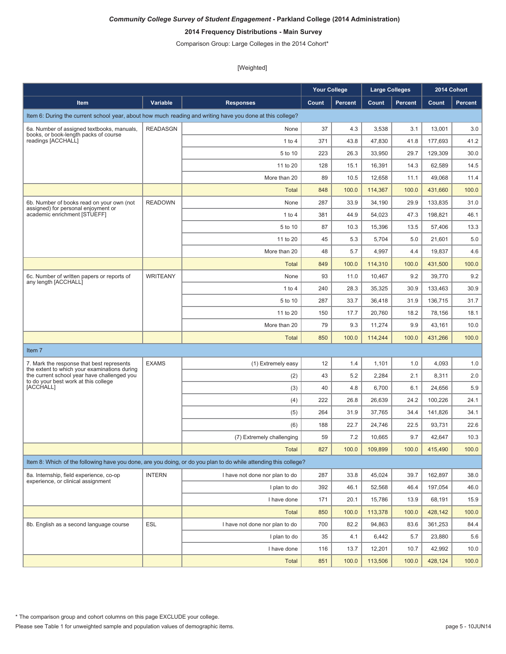# **2014 Frequency Distributions - Main Survey**

Comparison Group: Large Colleges in the 2014 Cohort\*

|                                                                                           |                 |                                                                                                                 | <b>Your College</b> |                | <b>Large Colleges</b> |                |         | 2014 Cohort |
|-------------------------------------------------------------------------------------------|-----------------|-----------------------------------------------------------------------------------------------------------------|---------------------|----------------|-----------------------|----------------|---------|-------------|
| Item                                                                                      | Variable        | <b>Responses</b>                                                                                                | Count               | <b>Percent</b> | Count                 | <b>Percent</b> | Count   | Percent     |
|                                                                                           |                 | Item 6: During the current school year, about how much reading and writing have you done at this college?       |                     |                |                       |                |         |             |
| 6a. Number of assigned textbooks, manuals,                                                | <b>READASGN</b> | None                                                                                                            | 37                  | 4.3            | 3,538                 | 3.1            | 13,001  | 3.0         |
| books, or book-length packs of course<br>readings [ACCHALL]                               |                 | $1$ to $4$                                                                                                      | 371                 | 43.8           | 47,830                | 41.8           | 177.693 | 41.2        |
|                                                                                           |                 | 5 to 10                                                                                                         | 223                 | 26.3           | 33,950                | 29.7           | 129,309 | 30.0        |
|                                                                                           |                 | 11 to 20                                                                                                        | 128                 | 15.1           | 16,391                | 14.3           | 62,589  | 14.5        |
|                                                                                           |                 | More than 20                                                                                                    | 89                  | 10.5           | 12,658                | 11.1           | 49,068  | 11.4        |
|                                                                                           |                 | <b>Total</b>                                                                                                    | 848                 | 100.0          | 114,367               | 100.0          | 431,660 | 100.0       |
| 6b. Number of books read on your own (not                                                 | <b>READOWN</b>  | None                                                                                                            | 287                 | 33.9           | 34,190                | 29.9           | 133,835 | 31.0        |
| assigned) for personal enjoyment or<br>academic enrichment [STUEFF]                       |                 | $1$ to $4$                                                                                                      | 381                 | 44.9           | 54,023                | 47.3           | 198,821 | 46.1        |
|                                                                                           |                 | 5 to 10                                                                                                         | 87                  | 10.3           | 15,396                | 13.5           | 57,406  | 13.3        |
|                                                                                           |                 | 11 to 20                                                                                                        | 45                  | 5.3            | 5,704                 | 5.0            | 21,601  | 5.0         |
|                                                                                           |                 | More than 20                                                                                                    | 48                  | 5.7            | 4,997                 | 4.4            | 19,837  | 4.6         |
|                                                                                           |                 | <b>Total</b>                                                                                                    | 849                 | 100.0          | 114,310               | 100.0          | 431,500 | 100.0       |
| 6c. Number of written papers or reports of                                                | <b>WRITEANY</b> | None                                                                                                            | 93                  | 11.0           | 10,467                | 9.2            | 39,770  | 9.2         |
| any length [ACCHALL]                                                                      |                 | $1$ to $4$                                                                                                      | 240                 | 28.3           | 35,325                | 30.9           | 133,463 | 30.9        |
|                                                                                           |                 | 5 to 10                                                                                                         | 287                 | 33.7           | 36,418                | 31.9           | 136,715 | 31.7        |
|                                                                                           |                 | 11 to 20                                                                                                        | 150                 | 17.7           | 20,760                | 18.2           | 78,156  | 18.1        |
|                                                                                           |                 | More than 20                                                                                                    | 79                  | 9.3            | 11,274                | 9.9            | 43,161  | 10.0        |
|                                                                                           |                 | <b>Total</b>                                                                                                    | 850                 | 100.0          | 114,244               | 100.0          | 431,266 | 100.0       |
| Item 7                                                                                    |                 |                                                                                                                 |                     |                |                       |                |         |             |
| 7. Mark the response that best represents<br>the extent to which your examinations during | <b>EXAMS</b>    | (1) Extremely easy                                                                                              | 12                  | 1.4            | 1,101                 | 1.0            | 4,093   | 1.0         |
| the current school year have challenged you<br>to do your best work at this college       |                 | (2)                                                                                                             | 43                  | 5.2            | 2,284                 | 2.1            | 8,311   | 2.0         |
| [ACCHALL]                                                                                 |                 | (3)                                                                                                             | 40                  | 4.8            | 6,700                 | 6.1            | 24,656  | 5.9         |
|                                                                                           |                 | (4)                                                                                                             | 222                 | 26.8           | 26,639                | 24.2           | 100,226 | 24.1        |
|                                                                                           |                 | (5)                                                                                                             | 264                 | 31.9           | 37,765                | 34.4           | 141,826 | 34.1        |
|                                                                                           |                 | (6)                                                                                                             | 188                 | 22.7           | 24,746                | 22.5           | 93,731  | 22.6        |
|                                                                                           |                 | (7) Extremely challenging                                                                                       | 59                  | 7.2            | 10,665                | 9.7            | 42,647  | 10.3        |
|                                                                                           |                 | Total                                                                                                           | 827                 | 100.0          | 109,899               | 100.0          | 415,490 | 100.0       |
|                                                                                           |                 | Item 8: Which of the following have you done, are you doing, or do you plan to do while attending this college? |                     |                |                       |                |         |             |
| 8a. Internship, field experience, co-op                                                   | <b>INTERN</b>   | I have not done nor plan to do                                                                                  | 287                 | 33.8           | 45,024                | 39.7           | 162,897 | 38.0        |
| experience, or clinical assignment                                                        |                 | I plan to do                                                                                                    | 392                 | 46.1           | 52,568                | 46.4           | 197,054 | 46.0        |
|                                                                                           |                 | I have done                                                                                                     | 171                 | 20.1           | 15,786                | 13.9           | 68,191  | 15.9        |
|                                                                                           |                 | <b>Total</b>                                                                                                    | 850                 | 100.0          | 113,378               | 100.0          | 428,142 | 100.0       |
| 8b. English as a second language course                                                   | <b>ESL</b>      | I have not done nor plan to do                                                                                  | 700                 | 82.2           | 94,863                | 83.6           | 361,253 | 84.4        |
|                                                                                           |                 | I plan to do                                                                                                    | 35                  | 4.1            | 6,442                 | 5.7            | 23,880  | 5.6         |
|                                                                                           |                 | I have done                                                                                                     | 116                 | 13.7           | 12,201                | 10.7           | 42,992  | 10.0        |
|                                                                                           |                 | <b>Total</b>                                                                                                    | 851                 | 100.0          | 113,506               | 100.0          | 428,124 | 100.0       |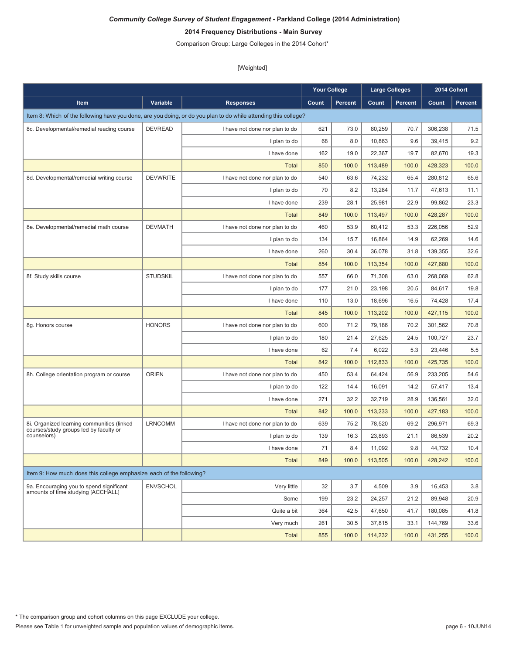# **2014 Frequency Distributions - Main Survey**

Comparison Group: Large Colleges in the 2014 Cohort\*

|                                                                                      |                 |                                                                                                                 | <b>Your College</b> |                | <b>Large Colleges</b> |                | 2014 Cohort |                |
|--------------------------------------------------------------------------------------|-----------------|-----------------------------------------------------------------------------------------------------------------|---------------------|----------------|-----------------------|----------------|-------------|----------------|
| Item                                                                                 | Variable        | <b>Responses</b>                                                                                                | Count               | <b>Percent</b> | Count                 | <b>Percent</b> | Count       | <b>Percent</b> |
|                                                                                      |                 | Item 8: Which of the following have you done, are you doing, or do you plan to do while attending this college? |                     |                |                       |                |             |                |
| 8c. Developmental/remedial reading course                                            | <b>DEVREAD</b>  | I have not done nor plan to do                                                                                  | 621                 | 73.0           | 80,259                | 70.7           | 306,238     | 71.5           |
|                                                                                      |                 | I plan to do                                                                                                    | 68                  | 8.0            | 10,863                | 9.6            | 39,415      | 9.2            |
|                                                                                      |                 | I have done                                                                                                     | 162                 | 19.0           | 22,367                | 19.7           | 82,670      | 19.3           |
|                                                                                      |                 | <b>Total</b>                                                                                                    | 850                 | 100.0          | 113,489               | 100.0          | 428.323     | 100.0          |
| 8d. Developmental/remedial writing course                                            | <b>DEVWRITE</b> | I have not done nor plan to do                                                                                  | 540                 | 63.6           | 74,232                | 65.4           | 280,812     | 65.6           |
|                                                                                      |                 | I plan to do                                                                                                    | 70                  | 8.2            | 13,284                | 11.7           | 47,613      | 11.1           |
|                                                                                      |                 | I have done                                                                                                     | 239                 | 28.1           | 25,981                | 22.9           | 99,862      | 23.3           |
|                                                                                      |                 | <b>Total</b>                                                                                                    | 849                 | 100.0          | 113,497               | 100.0          | 428,287     | 100.0          |
| 8e. Developmental/remedial math course                                               | <b>DEVMATH</b>  | I have not done nor plan to do                                                                                  | 460                 | 53.9           | 60,412                | 53.3           | 226,056     | 52.9           |
|                                                                                      |                 | I plan to do                                                                                                    | 134                 | 15.7           | 16,864                | 14.9           | 62,269      | 14.6           |
|                                                                                      |                 | I have done                                                                                                     | 260                 | 30.4           | 36,078                | 31.8           | 139,355     | 32.6           |
|                                                                                      |                 | <b>Total</b>                                                                                                    | 854                 | 100.0          | 113,354               | 100.0          | 427,680     | 100.0          |
| 8f. Study skills course                                                              | <b>STUDSKIL</b> | I have not done nor plan to do                                                                                  | 557                 | 66.0           | 71,308                | 63.0           | 268,069     | 62.8           |
|                                                                                      |                 | I plan to do                                                                                                    | 177                 | 21.0           | 23,198                | 20.5           | 84,617      | 19.8           |
|                                                                                      |                 | I have done                                                                                                     | 110                 | 13.0           | 18,696                | 16.5           | 74,428      | 17.4           |
|                                                                                      |                 | <b>Total</b>                                                                                                    | 845                 | 100.0          | 113,202               | 100.0          | 427,115     | 100.0          |
| 8g. Honors course                                                                    | <b>HONORS</b>   | I have not done nor plan to do                                                                                  | 600                 | 71.2           | 79,186                | 70.2           | 301,562     | 70.8           |
|                                                                                      |                 | I plan to do                                                                                                    | 180                 | 21.4           | 27,625                | 24.5           | 100,727     | 23.7           |
|                                                                                      |                 | I have done                                                                                                     | 62                  | 7.4            | 6,022                 | 5.3            | 23,446      | 5.5            |
|                                                                                      |                 | <b>Total</b>                                                                                                    | 842                 | 100.0          | 112,833               | 100.0          | 425,735     | 100.0          |
| 8h. College orientation program or course                                            | <b>ORIEN</b>    | I have not done nor plan to do                                                                                  | 450                 | 53.4           | 64,424                | 56.9           | 233,205     | 54.6           |
|                                                                                      |                 | I plan to do                                                                                                    | 122                 | 14.4           | 16,091                | 14.2           | 57,417      | 13.4           |
|                                                                                      |                 | I have done                                                                                                     | 271                 | 32.2           | 32,719                | 28.9           | 136,561     | 32.0           |
|                                                                                      |                 | <b>Total</b>                                                                                                    | 842                 | 100.0          | 113,233               | 100.0          | 427,183     | 100.0          |
| 8i. Organized learning communities (linked<br>courses/study groups led by faculty or | <b>LRNCOMM</b>  | I have not done nor plan to do                                                                                  | 639                 | 75.2           | 78,520                | 69.2           | 296,971     | 69.3           |
| counselors)                                                                          |                 | I plan to do                                                                                                    | 139                 | 16.3           | 23,893                | 21.1           | 86,539      | 20.2           |
|                                                                                      |                 | I have done                                                                                                     | 71                  | 8.4            | 11,092                | 9.8            | 44,732      | 10.4           |
|                                                                                      |                 | <b>Total</b>                                                                                                    | 849                 | 100.0          | 113,505               | 100.0          | 428,242     | 100.0          |
| Item 9: How much does this college emphasize each of the following?                  |                 |                                                                                                                 |                     |                |                       |                |             |                |
| 9a. Encouraging you to spend significant                                             | <b>ENVSCHOL</b> | Very little                                                                                                     | 32                  | 3.7            | 4,509                 | 3.9            | 16,453      | 3.8            |
| amounts of time studying [ACCHALL]                                                   |                 | Some                                                                                                            | 199                 | 23.2           | 24.257                | 21.2           | 89,948      | 20.9           |
|                                                                                      |                 | Quite a bit                                                                                                     | 364                 | 42.5           | 47,650                | 41.7           | 180,085     | 41.8           |
|                                                                                      |                 | Very much                                                                                                       | 261                 | 30.5           | 37,815                | 33.1           | 144,769     | 33.6           |
|                                                                                      |                 | <b>Total</b>                                                                                                    | 855                 | 100.0          | 114,232               | 100.0          | 431,255     | 100.0          |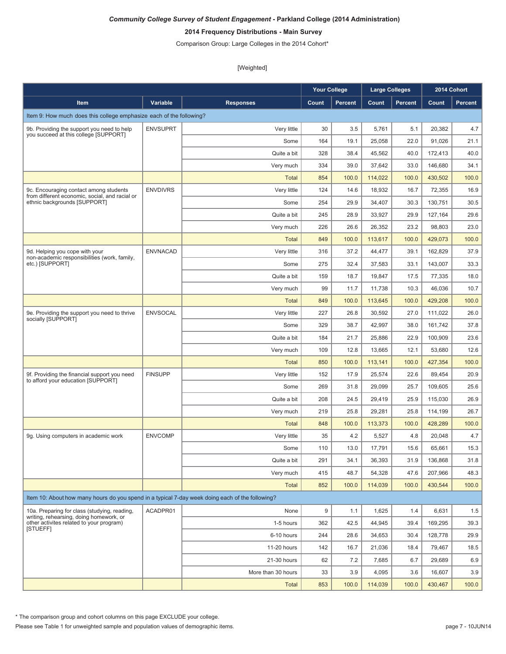# **2014 Frequency Distributions - Main Survey**

Comparison Group: Large Colleges in the 2014 Cohort\*

[Weighted]

|                                                                                                 |                 |                    | <b>Your College</b> |                | <b>Large Colleges</b> |                |         | 2014 Cohort |
|-------------------------------------------------------------------------------------------------|-----------------|--------------------|---------------------|----------------|-----------------------|----------------|---------|-------------|
| <b>Item</b>                                                                                     | Variable        | <b>Responses</b>   | Count               | <b>Percent</b> | Count                 | <b>Percent</b> | Count   | Percent     |
| Item 9: How much does this college emphasize each of the following?                             |                 |                    |                     |                |                       |                |         |             |
| 9b. Providing the support you need to help                                                      | <b>ENVSUPRT</b> | Very little        | 30                  | 3.5            | 5,761                 | 5.1            | 20,382  | 4.7         |
| you succeed at this college [SUPPORT]                                                           |                 | Some               | 164                 | 19.1           | 25,058                | 22.0           | 91,026  | 21.1        |
|                                                                                                 |                 | Quite a bit        | 328                 | 38.4           | 45,562                | 40.0           | 172,413 | 40.0        |
|                                                                                                 |                 | Very much          | 334                 | 39.0           | 37,642                | 33.0           | 146,680 | 34.1        |
|                                                                                                 |                 | <b>Total</b>       | 854                 | 100.0          | 114,022               | 100.0          | 430,502 | 100.0       |
| 9c. Encouraging contact among students<br>from different economic, social, and racial or        | <b>ENVDIVRS</b> | Very little        | 124                 | 14.6           | 18,932                | 16.7           | 72,355  | 16.9        |
| ethnic backgrounds [SUPPORT]                                                                    |                 | Some               | 254                 | 29.9           | 34,407                | 30.3           | 130,751 | 30.5        |
|                                                                                                 |                 | Quite a bit        | 245                 | 28.9           | 33,927                | 29.9           | 127,164 | 29.6        |
|                                                                                                 |                 | Very much          | 226                 | 26.6           | 26,352                | 23.2           | 98,803  | 23.0        |
|                                                                                                 |                 | <b>Total</b>       | 849                 | 100.0          | 113,617               | 100.0          | 429,073 | 100.0       |
| 9d. Helping you cope with your<br>non-academic responsibilities (work, family,                  | <b>ENVNACAD</b> | Very little        | 316                 | 37.2           | 44,477                | 39.1           | 162,829 | 37.9        |
| etc.) [SUPPORT]                                                                                 |                 | Some               | 275                 | 32.4           | 37,583                | 33.1           | 143.007 | 33.3        |
|                                                                                                 |                 | Quite a bit        | 159                 | 18.7           | 19,847                | 17.5           | 77,335  | 18.0        |
|                                                                                                 |                 | Very much          | 99                  | 11.7           | 11,738                | 10.3           | 46,036  | 10.7        |
|                                                                                                 |                 | <b>Total</b>       | 849                 | 100.0          | 113,645               | 100.0          | 429,208 | 100.0       |
| 9e. Providing the support you need to thrive<br>socially [SUPPORT]                              | <b>ENVSOCAL</b> | Very little        | 227                 | 26.8           | 30,592                | 27.0           | 111,022 | 26.0        |
|                                                                                                 |                 | Some               | 329                 | 38.7           | 42,997                | 38.0           | 161,742 | 37.8        |
|                                                                                                 |                 | Quite a bit        | 184                 | 21.7           | 25,886                | 22.9           | 100,909 | 23.6        |
|                                                                                                 |                 | Very much          | 109                 | 12.8           | 13,665                | 12.1           | 53,680  | 12.6        |
|                                                                                                 |                 | <b>Total</b>       | 850                 | 100.0          | 113,141               | 100.0          | 427,354 | 100.0       |
| 9f. Providing the financial support you need<br>to afford your education [SUPPORT]              | <b>FINSUPP</b>  | Very little        | 152                 | 17.9           | 25,574                | 22.6           | 89,454  | 20.9        |
|                                                                                                 |                 | Some               | 269                 | 31.8           | 29,099                | 25.7           | 109,605 | 25.6        |
|                                                                                                 |                 | Quite a bit        | 208                 | 24.5           | 29,419                | 25.9           | 115,030 | 26.9        |
|                                                                                                 |                 | Very much          | 219                 | 25.8           | 29,281                | 25.8           | 114,199 | 26.7        |
|                                                                                                 |                 | <b>Total</b>       | 848                 | 100.0          | 113.373               | 100.0          | 428.289 | 100.0       |
| 9g. Using computers in academic work                                                            | <b>ENVCOMP</b>  | Very little        | 35                  | 4.2            | 5,527                 | 4.8            | 20,048  | 4.7         |
|                                                                                                 |                 | Some               | 110                 | 13.0           | 17,791                | 15.6           | 65,661  | 15.3        |
|                                                                                                 |                 | Quite a bit        | 291                 | 34.1           | 36,393                | 31.9           | 136,868 | 31.8        |
|                                                                                                 |                 | Very much          | 415                 | 48.7           | 54,328                | 47.6           | 207,966 | 48.3        |
|                                                                                                 |                 | <b>Total</b>       | 852                 | 100.0          | 114,039               | 100.0          | 430,544 | 100.0       |
| Item 10: About how many hours do you spend in a typical 7-day week doing each of the following? |                 |                    |                     |                |                       |                |         |             |
| 10a. Preparing for class (studying, reading,<br>writing, rehearsing, doing homework, or         | ACADPR01        | None               | 9                   | 1.1            | 1,625                 | 1.4            | 6,631   | 1.5         |
| other activites related to your program)<br>[STUEFF]                                            |                 | 1-5 hours          | 362                 | 42.5           | 44,945                | 39.4           | 169,295 | 39.3        |
|                                                                                                 |                 | 6-10 hours         | 244                 | 28.6           | 34,653                | 30.4           | 128,778 | 29.9        |
|                                                                                                 |                 | 11-20 hours        | 142                 | 16.7           | 21,036                | 18.4           | 79.467  | 18.5        |
|                                                                                                 |                 | 21-30 hours        | 62                  | 7.2            | 7,685                 | 6.7            | 29,689  | 6.9         |
|                                                                                                 |                 | More than 30 hours | 33                  | 3.9            | 4,095                 | 3.6            | 16,607  | 3.9         |
|                                                                                                 |                 | Total              | 853                 | 100.0          | 114,039               | 100.0          | 430,467 | 100.0       |

\* The comparison group and cohort columns on this page EXCLUDE your college.

Please see Table 1 for unweighted sample and population values of demographic items. page 7 - 10JUN14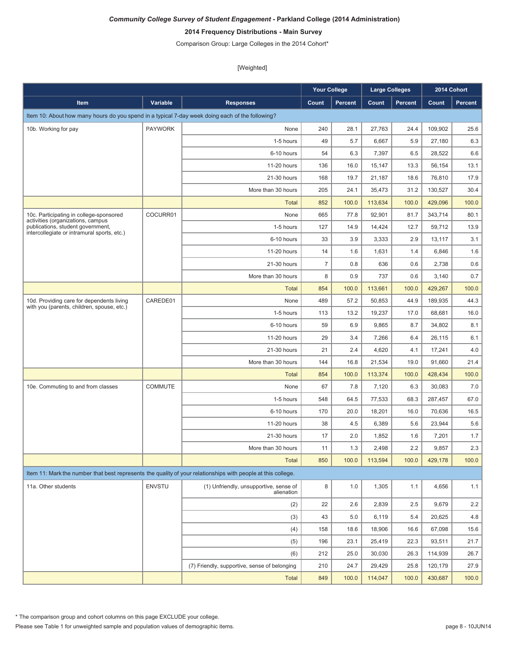# **2014 Frequency Distributions - Main Survey**

Comparison Group: Large Colleges in the 2014 Cohort\*

|                                                                                                              |                |                                                      | <b>Your College</b> |                | <b>Large Colleges</b> |                |         | 2014 Cohort |
|--------------------------------------------------------------------------------------------------------------|----------------|------------------------------------------------------|---------------------|----------------|-----------------------|----------------|---------|-------------|
| Item                                                                                                         | Variable       | <b>Responses</b>                                     | Count               | <b>Percent</b> | Count                 | <b>Percent</b> | Count   | Percent     |
| Item 10: About how many hours do you spend in a typical 7-day week doing each of the following?              |                |                                                      |                     |                |                       |                |         |             |
| 10b. Working for pay                                                                                         | <b>PAYWORK</b> | None                                                 | 240                 | 28.1           | 27.763                | 24.4           | 109,902 | 25.6        |
|                                                                                                              |                | 1-5 hours                                            | 49                  | 5.7            | 6,667                 | 5.9            | 27,180  | 6.3         |
|                                                                                                              |                | 6-10 hours                                           | 54                  | 6.3            | 7,397                 | 6.5            | 28,522  | 6.6         |
|                                                                                                              |                | 11-20 hours                                          | 136                 | 16.0           | 15,147                | 13.3           | 56.154  | 13.1        |
|                                                                                                              |                | 21-30 hours                                          | 168                 | 19.7           | 21,187                | 18.6           | 76,810  | 17.9        |
|                                                                                                              |                | More than 30 hours                                   | 205                 | 24.1           | 35,473                | 31.2           | 130,527 | 30.4        |
|                                                                                                              |                | <b>Total</b>                                         | 852                 | 100.0          | 113,634               | 100.0          | 429,096 | 100.0       |
| 10c. Participating in college-sponsored<br>activities (organizations, campus                                 | COCURR01       | None                                                 | 665                 | 77.8           | 92,901                | 81.7           | 343,714 | 80.1        |
| publications, student government,<br>intercollegiate or intramural sports, etc.)                             |                | 1-5 hours                                            | 127                 | 14.9           | 14,424                | 12.7           | 59,712  | 13.9        |
|                                                                                                              |                | 6-10 hours                                           | 33                  | 3.9            | 3,333                 | 2.9            | 13,117  | 3.1         |
|                                                                                                              |                | 11-20 hours                                          | 14                  | 1.6            | 1,631                 | 1.4            | 6,846   | 1.6         |
|                                                                                                              |                | 21-30 hours                                          | $\overline{7}$      | 0.8            | 636                   | 0.6            | 2,738   | 0.6         |
|                                                                                                              |                | More than 30 hours                                   | 8                   | 0.9            | 737                   | 0.6            | 3,140   | 0.7         |
|                                                                                                              |                | <b>Total</b>                                         | 854                 | 100.0          | 113,661               | 100.0          | 429,267 | 100.0       |
| 10d. Providing care for dependents living<br>with you (parents, children, spouse, etc.)                      | CAREDE01       | None                                                 | 489                 | 57.2           | 50.853                | 44.9           | 189,935 | 44.3        |
|                                                                                                              |                | 1-5 hours                                            | 113                 | 13.2           | 19,237                | 17.0           | 68,681  | 16.0        |
|                                                                                                              |                | 6-10 hours                                           | 59                  | 6.9            | 9,865                 | 8.7            | 34,802  | 8.1         |
|                                                                                                              |                | 11-20 hours                                          | 29                  | 3.4            | 7,266                 | 6.4            | 26,115  | 6.1         |
|                                                                                                              |                | 21-30 hours                                          | 21                  | 2.4            | 4,620                 | 4.1            | 17,241  | 4.0         |
|                                                                                                              |                | More than 30 hours                                   | 144                 | 16.8           | 21,534                | 19.0           | 91,660  | 21.4        |
|                                                                                                              |                | <b>Total</b>                                         | 854                 | 100.0          | 113,374               | 100.0          | 428,434 | 100.0       |
| 10e. Commuting to and from classes                                                                           | <b>COMMUTE</b> | None                                                 | 67                  | 7.8            | 7,120                 | 6.3            | 30,083  | 7.0         |
|                                                                                                              |                | 1-5 hours                                            | 548                 | 64.5           | 77,533                | 68.3           | 287,457 | 67.0        |
|                                                                                                              |                | 6-10 hours                                           | 170                 | 20.0           | 18,201                | 16.0           | 70,636  | 16.5        |
|                                                                                                              |                | 11-20 hours                                          | 38                  | 4.5            | 6,389                 | 5.6            | 23,944  | 5.6         |
|                                                                                                              |                | 21-30 hours                                          | 17                  | 2.0            | 1,852                 | 1.6            | 7,201   | 1.7         |
|                                                                                                              |                | More than 30 hours                                   | 11                  | 1.3            | 2,498                 | 2.2            | 9,857   | 2.3         |
|                                                                                                              |                | <b>Total</b>                                         | 850                 | 100.0          | 113,594               | 100.0          | 429,178 | 100.0       |
| Item 11: Mark the number that best represents the quality of your relationships with people at this college. |                |                                                      |                     |                |                       |                |         |             |
| 11a. Other students                                                                                          | <b>ENVSTU</b>  | (1) Unfriendly, unsupportive, sense of<br>alienation | 8                   | 1.0            | 1,305                 | 1.1            | 4,656   | 1.1         |
|                                                                                                              |                | (2)                                                  | 22                  | 2.6            | 2,839                 | 2.5            | 9,679   | 2.2         |
|                                                                                                              |                | (3)                                                  | 43                  | 5.0            | 6,119                 | 5.4            | 20,625  | $4.8\,$     |
|                                                                                                              |                | (4)                                                  | 158                 | 18.6           | 18,906                | 16.6           | 67,098  | 15.6        |
|                                                                                                              |                | (5)                                                  | 196                 | 23.1           | 25,419                | 22.3           | 93,511  | 21.7        |
|                                                                                                              |                | (6)                                                  | 212                 | 25.0           | 30,030                | 26.3           | 114,939 | 26.7        |
|                                                                                                              |                | (7) Friendly, supportive, sense of belonging         | 210                 | 24.7           | 29,429                | 25.8           | 120,179 | 27.9        |
|                                                                                                              |                | <b>Total</b>                                         | 849                 | 100.0          | 114,047               | 100.0          | 430,687 | 100.0       |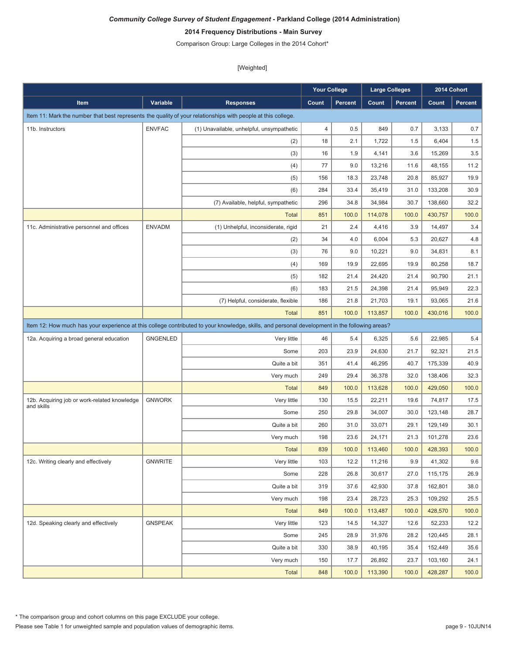# **2014 Frequency Distributions - Main Survey**

Comparison Group: Large Colleges in the 2014 Cohort\*

|                                                                                                                                               |                 |                                           | <b>Your College</b> |         | <b>Large Colleges</b> |         |         | 2014 Cohort    |  |
|-----------------------------------------------------------------------------------------------------------------------------------------------|-----------------|-------------------------------------------|---------------------|---------|-----------------------|---------|---------|----------------|--|
| Item                                                                                                                                          | <b>Variable</b> | <b>Responses</b>                          | Count               | Percent | Count                 | Percent | Count   | <b>Percent</b> |  |
| Item 11: Mark the number that best represents the quality of your relationships with people at this college.                                  |                 |                                           |                     |         |                       |         |         |                |  |
| 11b. Instructors                                                                                                                              | <b>ENVFAC</b>   | (1) Unavailable, unhelpful, unsympathetic | $\overline{4}$      | 0.5     | 849                   | 0.7     | 3,133   | 0.7            |  |
|                                                                                                                                               |                 | (2)                                       | 18                  | 2.1     | 1,722                 | 1.5     | 6,404   | 1.5            |  |
|                                                                                                                                               |                 | (3)                                       | 16                  | 1.9     | 4,141                 | 3.6     | 15,269  | $3.5\,$        |  |
|                                                                                                                                               |                 | (4)                                       | 77                  | 9.0     | 13,216                | 11.6    | 48,155  | 11.2           |  |
|                                                                                                                                               |                 | (5)                                       | 156                 | 18.3    | 23,748                | 20.8    | 85,927  | 19.9           |  |
|                                                                                                                                               |                 | (6)                                       | 284                 | 33.4    | 35,419                | 31.0    | 133,208 | 30.9           |  |
|                                                                                                                                               |                 | (7) Available, helpful, sympathetic       | 296                 | 34.8    | 34,984                | 30.7    | 138,660 | 32.2           |  |
|                                                                                                                                               |                 | <b>Total</b>                              | 851                 | 100.0   | 114,078               | 100.0   | 430,757 | 100.0          |  |
| 11c. Administrative personnel and offices                                                                                                     | <b>ENVADM</b>   | (1) Unhelpful, inconsiderate, rigid       | 21                  | 2.4     | 4,416                 | 3.9     | 14,497  | 3.4            |  |
|                                                                                                                                               |                 | (2)                                       | 34                  | 4.0     | 6,004                 | 5.3     | 20,627  | 4.8            |  |
|                                                                                                                                               |                 | (3)                                       | 76                  | 9.0     | 10,221                | 9.0     | 34,831  | 8.1            |  |
|                                                                                                                                               |                 | (4)                                       | 169                 | 19.9    | 22,695                | 19.9    | 80,258  | 18.7           |  |
|                                                                                                                                               |                 | (5)                                       | 182                 | 21.4    | 24,420                | 21.4    | 90,790  | 21.1           |  |
|                                                                                                                                               |                 | (6)                                       | 183                 | 21.5    | 24,398                | 21.4    | 95,949  | 22.3           |  |
|                                                                                                                                               |                 | (7) Helpful, considerate, flexible        | 186                 | 21.8    | 21,703                | 19.1    | 93,065  | 21.6           |  |
|                                                                                                                                               |                 | <b>Total</b>                              | 851                 | 100.0   | 113,857               | 100.0   | 430,016 | 100.0          |  |
| Item 12: How much has your experience at this college contributed to your knowledge, skills, and personal development in the following areas? |                 |                                           |                     |         |                       |         |         |                |  |
| 12a. Acquiring a broad general education                                                                                                      | <b>GNGENLED</b> | Very little                               | 46                  | 5.4     | 6,325                 | 5.6     | 22,985  | 5.4            |  |
|                                                                                                                                               |                 | Some                                      | 203                 | 23.9    | 24,630                | 21.7    | 92,321  | 21.5           |  |
|                                                                                                                                               |                 | Quite a bit                               | 351                 | 41.4    | 46,295                | 40.7    | 175,339 | 40.9           |  |
|                                                                                                                                               |                 | Very much                                 | 249                 | 29.4    | 36,378                | 32.0    | 138,406 | 32.3           |  |
|                                                                                                                                               |                 | <b>Total</b>                              | 849                 | 100.0   | 113,628               | 100.0   | 429,050 | 100.0          |  |
| 12b. Acquiring job or work-related knowledge                                                                                                  | <b>GNWORK</b>   | Very little                               | 130                 | 15.5    | 22,211                | 19.6    | 74,817  | 17.5           |  |
| and skills                                                                                                                                    |                 | Some                                      | 250                 | 29.8    | 34,007                | 30.0    | 123,148 | 28.7           |  |
|                                                                                                                                               |                 | Quite a bit                               | 260                 | 31.0    | 33,071                | 29.1    | 129,149 | 30.1           |  |
|                                                                                                                                               |                 | Very much                                 | 198                 | 23.6    | 24,171                | 21.3    | 101,278 | 23.6           |  |
|                                                                                                                                               |                 | <b>Total</b>                              | 839                 | 100.0   | 113,460               | 100.0   | 428,393 | 100.0          |  |
| 12c. Writing clearly and effectively                                                                                                          | GNWRITE         | Very little                               | 103                 | 12.2    | 11,216                | 9.9     | 41,302  | 9.6            |  |
|                                                                                                                                               |                 | Some                                      | 228                 | 26.8    | 30,617                | 27.0    | 115,175 | 26.9           |  |
|                                                                                                                                               |                 | Quite a bit                               | 319                 | 37.6    | 42,930                | 37.8    | 162,801 | 38.0           |  |
|                                                                                                                                               |                 | Very much                                 | 198                 | 23.4    | 28,723                | 25.3    | 109,292 | 25.5           |  |
|                                                                                                                                               |                 | <b>Total</b>                              | 849                 | 100.0   | 113,487               | 100.0   | 428,570 | 100.0          |  |
| 12d. Speaking clearly and effectively                                                                                                         | <b>GNSPEAK</b>  | Very little                               | 123                 | 14.5    | 14,327                | 12.6    | 52,233  | 12.2           |  |
|                                                                                                                                               |                 | Some                                      | 245                 | 28.9    | 31,976                | 28.2    | 120,445 | 28.1           |  |
|                                                                                                                                               |                 | Quite a bit                               | 330                 | 38.9    | 40,195                | 35.4    | 152,449 | 35.6           |  |
|                                                                                                                                               |                 | Very much                                 | 150                 | 17.7    | 26,892                | 23.7    | 103,160 | 24.1           |  |
|                                                                                                                                               |                 | <b>Total</b>                              | 848                 | 100.0   | 113,390               | 100.0   | 428,287 | 100.0          |  |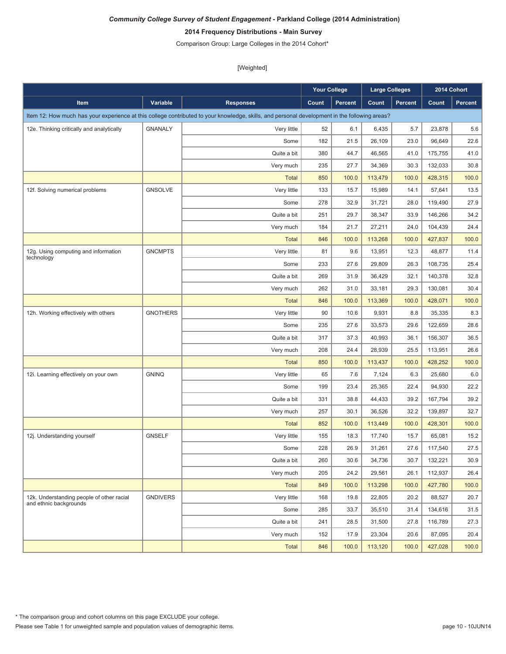# **2014 Frequency Distributions - Main Survey**

Comparison Group: Large Colleges in the 2014 Cohort\*

|                                                                     |                 |                                                                                                                                               | <b>Your College</b> |                | <b>Large Colleges</b> |                |         | 2014 Cohort |
|---------------------------------------------------------------------|-----------------|-----------------------------------------------------------------------------------------------------------------------------------------------|---------------------|----------------|-----------------------|----------------|---------|-------------|
| <b>Item</b>                                                         | Variable        | <b>Responses</b>                                                                                                                              | Count               | <b>Percent</b> | Count                 | <b>Percent</b> | Count   | Percent     |
|                                                                     |                 | Item 12: How much has your experience at this college contributed to your knowledge, skills, and personal development in the following areas? |                     |                |                       |                |         |             |
| 12e. Thinking critically and analytically                           | <b>GNANALY</b>  | Very little                                                                                                                                   | 52                  | 6.1            | 6,435                 | 5.7            | 23,878  | 5.6         |
|                                                                     |                 | Some                                                                                                                                          | 182                 | 21.5           | 26,109                | 23.0           | 96,649  | 22.6        |
|                                                                     |                 | Quite a bit                                                                                                                                   | 380                 | 44.7           | 46,565                | 41.0           | 175,755 | 41.0        |
|                                                                     |                 | Very much                                                                                                                                     | 235                 | 27.7           | 34,369                | 30.3           | 132,033 | 30.8        |
|                                                                     |                 | <b>Total</b>                                                                                                                                  | 850                 | 100.0          | 113,479               | 100.0          | 428,315 | 100.0       |
| 12f. Solving numerical problems                                     | <b>GNSOLVE</b>  | Very little                                                                                                                                   | 133                 | 15.7           | 15,989                | 14.1           | 57,641  | 13.5        |
|                                                                     |                 | Some                                                                                                                                          | 278                 | 32.9           | 31,721                | 28.0           | 119,490 | 27.9        |
|                                                                     |                 | Quite a bit                                                                                                                                   | 251                 | 29.7           | 38,347                | 33.9           | 146,266 | 34.2        |
|                                                                     |                 | Very much                                                                                                                                     | 184                 | 21.7           | 27,211                | 24.0           | 104,439 | 24.4        |
|                                                                     |                 | <b>Total</b>                                                                                                                                  | 846                 | 100.0          | 113,268               | 100.0          | 427,837 | 100.0       |
| 12g. Using computing and information                                | <b>GNCMPTS</b>  | Very little                                                                                                                                   | 81                  | 9.6            | 13,951                | 12.3           | 48,877  | 11.4        |
| technology                                                          |                 | Some                                                                                                                                          | 233                 | 27.6           | 29,809                | 26.3           | 108,735 | 25.4        |
|                                                                     |                 | Quite a bit                                                                                                                                   | 269                 | 31.9           | 36,429                | 32.1           | 140,378 | 32.8        |
|                                                                     |                 | Very much                                                                                                                                     | 262                 | 31.0           | 33,181                | 29.3           | 130,081 | 30.4        |
|                                                                     |                 | <b>Total</b>                                                                                                                                  | 846                 | 100.0          | 113,369               | 100.0          | 428,071 | 100.0       |
| 12h. Working effectively with others                                | <b>GNOTHERS</b> | Very little                                                                                                                                   | 90                  | 10.6           | 9,931                 | 8.8            | 35,335  | 8.3         |
|                                                                     |                 | Some                                                                                                                                          | 235                 | 27.6           | 33,573                | 29.6           | 122,659 | 28.6        |
|                                                                     |                 | Quite a bit                                                                                                                                   | 317                 | 37.3           | 40,993                | 36.1           | 156,307 | 36.5        |
|                                                                     |                 | Very much                                                                                                                                     | 208                 | 24.4           | 28,939                | 25.5           | 113,951 | 26.6        |
|                                                                     |                 | <b>Total</b>                                                                                                                                  | 850                 | 100.0          | 113,437               | 100.0          | 428,252 | 100.0       |
| 12i. Learning effectively on your own                               | <b>GNINQ</b>    | Very little                                                                                                                                   | 65                  | 7.6            | 7,124                 | 6.3            | 25,680  | 6.0         |
|                                                                     |                 | Some                                                                                                                                          | 199                 | 23.4           | 25,365                | 22.4           | 94,930  | 22.2        |
|                                                                     |                 | Quite a bit                                                                                                                                   | 331                 | 38.8           | 44,433                | 39.2           | 167,794 | 39.2        |
|                                                                     |                 | Very much                                                                                                                                     | 257                 | 30.1           | 36,526                | 32.2           | 139,897 | 32.7        |
|                                                                     |                 | <b>Total</b>                                                                                                                                  | 852                 | 100.0          | 113,449               | 100.0          | 428,301 | 100.0       |
| 12j. Understanding yourself                                         | <b>GNSELF</b>   | Very little                                                                                                                                   | 155                 | 18.3           | 17,740                | 15.7           | 65,081  | 15.2        |
|                                                                     |                 | Some                                                                                                                                          | 228                 | 26.9           | 31,261                | 27.6           | 117,540 | 27.5        |
|                                                                     |                 | Quite a bit                                                                                                                                   | 260                 | 30.6           | 34,736                | 30.7           | 132,221 | 30.9        |
|                                                                     |                 | Very much                                                                                                                                     | 205                 | 24.2           | 29,561                | 26.1           | 112,937 | 26.4        |
|                                                                     |                 | <b>Total</b>                                                                                                                                  | 849                 | 100.0          | 113,298               | 100.0          | 427,780 | 100.0       |
| 12k. Understanding people of other racial<br>and ethnic backgrounds | <b>GNDIVERS</b> | Very little                                                                                                                                   | 168                 | 19.8           | 22,805                | 20.2           | 88,527  | 20.7        |
|                                                                     |                 | Some                                                                                                                                          | 285                 | 33.7           | 35,510                | 31.4           | 134,616 | 31.5        |
|                                                                     |                 | Quite a bit                                                                                                                                   | 241                 | 28.5           | 31,500                | 27.8           | 116,789 | 27.3        |
|                                                                     |                 | Very much                                                                                                                                     | 152                 | 17.9           | 23,304                | 20.6           | 87,095  | 20.4        |
|                                                                     |                 | <b>Total</b>                                                                                                                                  | 846                 | 100.0          | 113,120               | 100.0          | 427,028 | 100.0       |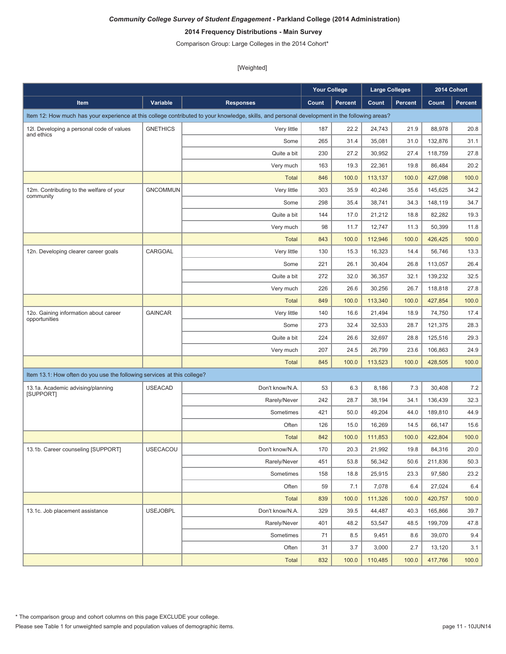# **2014 Frequency Distributions - Main Survey**

Comparison Group: Large Colleges in the 2014 Cohort\*

|                                                                         |                 |                                                                                                                                               | <b>Your College</b> |         | <b>Large Colleges</b> |         |         | 2014 Cohort |
|-------------------------------------------------------------------------|-----------------|-----------------------------------------------------------------------------------------------------------------------------------------------|---------------------|---------|-----------------------|---------|---------|-------------|
| Item                                                                    | Variable        | <b>Responses</b>                                                                                                                              | Count               | Percent | Count                 | Percent | Count   | Percent     |
|                                                                         |                 | Item 12: How much has your experience at this college contributed to your knowledge, skills, and personal development in the following areas? |                     |         |                       |         |         |             |
| 12I. Developing a personal code of values                               | <b>GNETHICS</b> | Very little                                                                                                                                   | 187                 | 22.2    | 24,743                | 21.9    | 88,978  | 20.8        |
| and ethics                                                              |                 | Some                                                                                                                                          | 265                 | 31.4    | 35,081                | 31.0    | 132,876 | 31.1        |
|                                                                         |                 | Quite a bit                                                                                                                                   | 230                 | 27.2    | 30,952                | 27.4    | 118,759 | 27.8        |
|                                                                         |                 | Very much                                                                                                                                     | 163                 | 19.3    | 22,361                | 19.8    | 86,484  | 20.2        |
|                                                                         |                 | <b>Total</b>                                                                                                                                  | 846                 | 100.0   | 113,137               | 100.0   | 427,098 | 100.0       |
| 12m. Contributing to the welfare of your                                | <b>GNCOMMUN</b> | Very little                                                                                                                                   | 303                 | 35.9    | 40,246                | 35.6    | 145,625 | 34.2        |
| community                                                               |                 | Some                                                                                                                                          | 298                 | 35.4    | 38,741                | 34.3    | 148,119 | 34.7        |
|                                                                         |                 | Quite a bit                                                                                                                                   | 144                 | 17.0    | 21,212                | 18.8    | 82,282  | 19.3        |
|                                                                         |                 | Very much                                                                                                                                     | 98                  | 11.7    | 12,747                | 11.3    | 50,399  | 11.8        |
|                                                                         |                 | <b>Total</b>                                                                                                                                  | 843                 | 100.0   | 112,946               | 100.0   | 426,425 | 100.0       |
| 12n. Developing clearer career goals                                    | CARGOAL         | Very little                                                                                                                                   | 130                 | 15.3    | 16,323                | 14.4    | 56,746  | 13.3        |
|                                                                         |                 | Some                                                                                                                                          | 221                 | 26.1    | 30,404                | 26.8    | 113,057 | 26.4        |
|                                                                         |                 | Quite a bit                                                                                                                                   | 272                 | 32.0    | 36,357                | 32.1    | 139,232 | 32.5        |
|                                                                         |                 | Very much                                                                                                                                     | 226                 | 26.6    | 30,256                | 26.7    | 118,818 | 27.8        |
|                                                                         |                 | <b>Total</b>                                                                                                                                  | 849                 | 100.0   | 113,340               | 100.0   | 427,854 | 100.0       |
| 12o. Gaining information about career                                   | <b>GAINCAR</b>  | Very little                                                                                                                                   | 140                 | 16.6    | 21,494                | 18.9    | 74,750  | 17.4        |
| opportunities                                                           |                 | Some                                                                                                                                          | 273                 | 32.4    | 32,533                | 28.7    | 121,375 | 28.3        |
|                                                                         |                 | Quite a bit                                                                                                                                   | 224                 | 26.6    | 32,697                | 28.8    | 125,516 | 29.3        |
|                                                                         |                 | Very much                                                                                                                                     | 207                 | 24.5    | 26,799                | 23.6    | 106,863 | 24.9        |
|                                                                         |                 | <b>Total</b>                                                                                                                                  | 845                 | 100.0   | 113,523               | 100.0   | 428,505 | 100.0       |
| Item 13.1: How often do you use the following services at this college? |                 |                                                                                                                                               |                     |         |                       |         |         |             |
| 13.1a. Academic advising/planning                                       | <b>USEACAD</b>  | Don't know/N.A.                                                                                                                               | 53                  | 6.3     | 8,186                 | 7.3     | 30,408  | 7.2         |
| [SUPPORT]                                                               |                 | Rarely/Never                                                                                                                                  | 242                 | 28.7    | 38,194                | 34.1    | 136,439 | 32.3        |
|                                                                         |                 | Sometimes                                                                                                                                     | 421                 | 50.0    | 49,204                | 44.0    | 189,810 | 44.9        |
|                                                                         |                 | Often                                                                                                                                         | 126                 | 15.0    | 16,269                | 14.5    | 66,147  | 15.6        |
|                                                                         |                 | <b>Total</b>                                                                                                                                  | 842                 | 100.0   | 111,853               | 100.0   | 422,804 | 100.0       |
| 13.1b. Career counseling [SUPPORT]                                      | <b>USECACOU</b> | Don't know/N.A.                                                                                                                               | 170                 | 20.3    | 21,992                | 19.8    | 84,316  | 20.0        |
|                                                                         |                 | Rarely/Never                                                                                                                                  | 451                 | 53.8    | 56,342                | 50.6    | 211,836 | 50.3        |
|                                                                         |                 | Sometimes                                                                                                                                     | 158                 | 18.8    | 25,915                | 23.3    | 97,580  | 23.2        |
|                                                                         |                 | Often                                                                                                                                         | 59                  | 7.1     | 7,078                 | 6.4     | 27,024  | $6.4\,$     |
|                                                                         |                 | <b>Total</b>                                                                                                                                  | 839                 | 100.0   | 111,326               | 100.0   | 420,757 | 100.0       |
| 13.1c. Job placement assistance                                         | <b>USEJOBPL</b> | Don't know/N.A.                                                                                                                               | 329                 | 39.5    | 44,487                | 40.3    | 165,866 | 39.7        |
|                                                                         |                 | Rarely/Never                                                                                                                                  | 401                 | 48.2    | 53,547                | 48.5    | 199,709 | 47.8        |
|                                                                         |                 | Sometimes                                                                                                                                     | 71                  | 8.5     | 9,451                 | 8.6     | 39,070  | 9.4         |
|                                                                         |                 | Often                                                                                                                                         | 31                  | 3.7     | 3,000                 | 2.7     | 13,120  | 3.1         |
|                                                                         |                 | <b>Total</b>                                                                                                                                  | 832                 | 100.0   | 110,485               | 100.0   | 417,766 | 100.0       |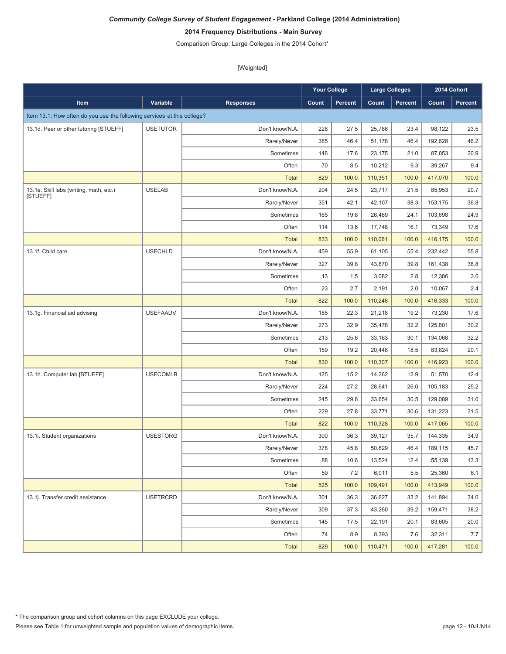# **2014 Frequency Distributions - Main Survey**

Comparison Group: Large Colleges in the 2014 Cohort\*

|                                                                         |                 |                  | <b>Your College</b> |         | <b>Large Colleges</b> |         |         | 2014 Cohort |
|-------------------------------------------------------------------------|-----------------|------------------|---------------------|---------|-----------------------|---------|---------|-------------|
| <b>Item</b>                                                             | Variable        | <b>Responses</b> | Count               | Percent | Count                 | Percent | Count   | Percent     |
| Item 13.1: How often do you use the following services at this college? |                 |                  |                     |         |                       |         |         |             |
| 13.1d. Peer or other tutoring [STUEFF]                                  | <b>USETUTOR</b> | Don't know/N.A.  | 228                 | 27.5    | 25,786                | 23.4    | 98,122  | 23.5        |
|                                                                         |                 | Rarely/Never     | 385                 | 46.4    | 51,178                | 46.4    | 192,628 | 46.2        |
|                                                                         |                 | Sometimes        | 146                 | 17.6    | 23,175                | 21.0    | 87,053  | 20.9        |
|                                                                         |                 | Often            | 70                  | 8.5     | 10,212                | 9.3     | 39,267  | 9.4         |
|                                                                         |                 | <b>Total</b>     | 829                 | 100.0   | 110,351               | 100.0   | 417,070 | 100.0       |
| 13.1e. Skill labs (writing, math, etc.)                                 | <b>USELAB</b>   | Don't know/N.A.  | 204                 | 24.5    | 23,717                | 21.5    | 85,953  | 20.7        |
| [STUEFF]                                                                |                 | Rarely/Never     | 351                 | 42.1    | 42,107                | 38.3    | 153,175 | 36.8        |
|                                                                         |                 | Sometimes        | 165                 | 19.8    | 26,489                | 24.1    | 103,698 | 24.9        |
|                                                                         |                 | Often            | 114                 | 13.6    | 17,748                | 16.1    | 73,349  | 17.6        |
|                                                                         |                 | <b>Total</b>     | 833                 | 100.0   | 110,061               | 100.0   | 416,175 | 100.0       |
| 13.1f. Child care                                                       | <b>USECHLD</b>  | Don't know/N.A.  | 459                 | 55.9    | 61,105                | 55.4    | 232,442 | 55.8        |
|                                                                         |                 | Rarely/Never     | 327                 | 39.8    | 43,870                | 39.8    | 161,438 | 38.8        |
|                                                                         |                 | Sometimes        | 13                  | 1.5     | 3,082                 | 2.8     | 12,386  | 3.0         |
|                                                                         |                 | Often            | 23                  | 2.7     | 2,191                 | 2.0     | 10,067  | 2.4         |
|                                                                         |                 | <b>Total</b>     | 822                 | 100.0   | 110,248               | 100.0   | 416,333 | 100.0       |
| 13.1g. Financial aid advising                                           | <b>USEFAADV</b> | Don't know/N.A.  | 185                 | 22.3    | 21,218                | 19.2    | 73,230  | 17.6        |
|                                                                         |                 | Rarely/Never     | 273                 | 32.9    | 35,478                | 32.2    | 125,801 | 30.2        |
|                                                                         |                 | Sometimes        | 213                 | 25.6    | 33,163                | 30.1    | 134,068 | 32.2        |
|                                                                         |                 | Often            | 159                 | 19.2    | 20,448                | 18.5    | 83,824  | 20.1        |
|                                                                         |                 | <b>Total</b>     | 830                 | 100.0   | 110,307               | 100.0   | 416,923 | 100.0       |
| 13.1h. Computer lab [STUEFF]                                            | <b>USECOMLB</b> | Don't know/N.A.  | 125                 | 15.2    | 14,262                | 12.9    | 51,570  | 12.4        |
|                                                                         |                 | Rarely/Never     | 224                 | 27.2    | 28,641                | 26.0    | 105,183 | 25.2        |
|                                                                         |                 | Sometimes        | 245                 | 29.8    | 33,654                | 30.5    | 129,089 | 31.0        |
|                                                                         |                 | Often            | 229                 | 27.8    | 33,771                | 30.6    | 131,223 | 31.5        |
|                                                                         |                 | <b>Total</b>     | 822                 | 100.0   | 110,328               | 100.0   | 417,065 | 100.0       |
| 13.1i. Student organizations                                            | <b>USESTORG</b> | Don't know/N.A.  | 300                 | 36.3    | 39,127                | 35.7    | 144,335 | 34.9        |
|                                                                         |                 | Rarely/Never     | 378                 | 45.8    | 50,829                | 46.4    | 189,115 | 45.7        |
|                                                                         |                 | Sometimes        | 88                  | 10.6    | 13,524                | 12.4    | 55,139  | 13.3        |
|                                                                         |                 | Often            | 59                  | 7.2     | 6,011                 | 5.5     | 25,360  | 6.1         |
|                                                                         |                 | Total            | 825                 | 100.0   | 109,491               | 100.0   | 413,949 | 100.0       |
| 13.1j. Transfer credit assistance                                       | <b>USETRCRD</b> | Don't know/N.A.  | 301                 | 36.3    | 36,627                | 33.2    | 141,894 | 34.0        |
|                                                                         |                 | Rarely/Never     | 309                 | 37.3    | 43,260                | 39.2    | 159,471 | 38.2        |
|                                                                         |                 | Sometimes        | 145                 | 17.5    | 22,191                | 20.1    | 83,605  | 20.0        |
|                                                                         |                 | Often            | 74                  | 8.9     | 8,393                 | 7.6     | 32,311  | 7.7         |
|                                                                         |                 | <b>Total</b>     | 829                 | 100.0   | 110,471               | 100.0   | 417,281 | 100.0       |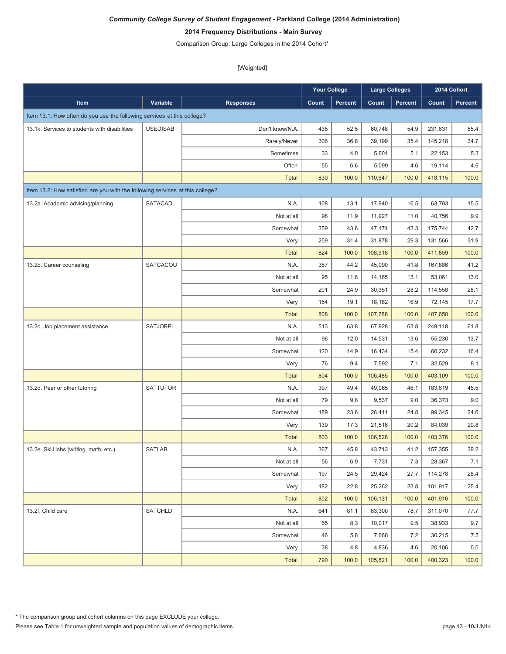# **2014 Frequency Distributions - Main Survey**

Comparison Group: Large Colleges in the 2014 Cohort\*

|                                                                               |                 |                  | <b>Your College</b> |                | Large Colleges |                |         | 2014 Cohort    |
|-------------------------------------------------------------------------------|-----------------|------------------|---------------------|----------------|----------------|----------------|---------|----------------|
| Item                                                                          | Variable        | <b>Responses</b> | Count               | <b>Percent</b> | Count          | <b>Percent</b> | Count   | <b>Percent</b> |
| Item 13.1: How often do you use the following services at this college?       |                 |                  |                     |                |                |                |         |                |
| 13.1k. Services to students with disabilities                                 | <b>USEDISAB</b> | Don't know/N.A.  | 435                 | 52.5           | 60,748         | 54.9           | 231,631 | 55.4           |
|                                                                               |                 | Rarely/Never     | 306                 | 36.8           | 39,199         | 35.4           | 145,218 | 34.7           |
|                                                                               |                 | Sometimes        | 33                  | 4.0            | 5,601          | 5.1            | 22,153  | 5.3            |
|                                                                               |                 | Often            | 55                  | 6.6            | 5,099          | 4.6            | 19,114  | 4.6            |
|                                                                               |                 | <b>Total</b>     | 830                 | 100.0          | 110,647        | 100.0          | 418,115 | 100.0          |
| Item 13.2: How satisfied are you with the following services at this college? |                 |                  |                     |                |                |                |         |                |
| 13.2a. Academic advising/planning                                             | <b>SATACAD</b>  | N.A.             | 108                 | 13.1           | 17,940         | 16.5           | 63,793  | 15.5           |
|                                                                               |                 | Not at all       | 98                  | 11.9           | 11,927         | 11.0           | 40,756  | 9.9            |
|                                                                               |                 | Somewhat         | 359                 | 43.6           | 47,174         | 43.3           | 175,744 | 42.7           |
|                                                                               |                 | Very             | 259                 | 31.4           | 31,878         | 29.3           | 131,566 | 31.9           |
|                                                                               |                 | <b>Total</b>     | 824                 | 100.0          | 108,918        | 100.0          | 411,859 | 100.0          |
| 13.2b. Career counseling                                                      | SATCACOU        | N.A.             | 357                 | 44.2           | 45,090         | 41.8           | 167,886 | 41.2           |
|                                                                               |                 | Not at all       | 95                  | 11.8           | 14,165         | 13.1           | 53,061  | 13.0           |
|                                                                               |                 | Somewhat         | 201                 | 24.9           | 30,351         | 28.2           | 114,558 | 28.1           |
|                                                                               |                 | Very             | 154                 | 19.1           | 18,182         | 16.9           | 72,145  | 17.7           |
|                                                                               |                 | <b>Total</b>     | 808                 | 100.0          | 107,788        | 100.0          | 407,650 | 100.0          |
| 13.2c. Job placement assistance                                               | SATJOBPL        | N.A.             | 513                 | 63.8           | 67,928         | 63.8           | 249,118 | 61.8           |
|                                                                               |                 | Not at all       | 96                  | 12.0           | 14,531         | 13.6           | 55,230  | 13.7           |
|                                                                               |                 | Somewhat         | 120                 | 14.9           | 16,434         | 15.4           | 66,232  | 16.4           |
|                                                                               |                 | Very             | 76                  | 9.4            | 7,592          | 7.1            | 32,529  | 8.1            |
|                                                                               |                 | <b>Total</b>     | 804                 | 100.0          | 106,485        | 100.0          | 403,109 | 100.0          |
| 13.2d. Peer or other tutoring                                                 | <b>SATTUTOR</b> | N.A.             | 397                 | 49.4           | 49,065         | 46.1           | 183,619 | 45.5           |
|                                                                               |                 | Not at all       | 79                  | 9.8            | 9,537          | 9.0            | 36,373  | 9.0            |
|                                                                               |                 | Somewhat         | 189                 | 23.6           | 26,411         | 24.8           | 99,345  | 24.6           |
|                                                                               |                 | Very             | 139                 | 17.3           | 21,516         | 20.2           | 84,039  | 20.8           |
|                                                                               |                 | <b>Total</b>     | 803                 | 100.0          | 106,528        | 100.0          | 403,376 | 100.0          |
| 13.2e. Skill labs (writing, math, etc.)                                       | <b>SATLAB</b>   | N.A.             | 367                 | 45.8           | 43,713         | 41.2           | 157,355 | 39.2           |
|                                                                               |                 | Not at all       | 56                  | 6.9            | 7,731          | 7.3            | 28,367  | 7.1            |
|                                                                               |                 | Somewhat         | 197                 | 24.5           | 29,424         | 27.7           | 114,278 | 28.4           |
|                                                                               |                 | Very             | 182                 | 22.8           | 25,262         | 23.8           | 101,917 | 25.4           |
|                                                                               |                 | Total            | 802                 | 100.0          | 106,131        | 100.0          | 401,916 | 100.0          |
| 13.2f. Child care                                                             | <b>SATCHLD</b>  | N.A.             | 641                 | 81.1           | 83,300         | 78.7           | 311,070 | 77.7           |
|                                                                               |                 | Not at all       | 65                  | 8.3            | 10,017         | 9.5            | 38,933  | 9.7            |
|                                                                               |                 | Somewhat         | 46                  | 5.8            | 7,668          | 7.2            | 30,215  | 7.5            |
|                                                                               |                 | Very             | 38                  | 4.8            | 4,836          | 4.6            | 20,106  | $5.0\,$        |
|                                                                               |                 | Total            | 790                 | 100.0          | 105,821        | 100.0          | 400,323 | 100.0          |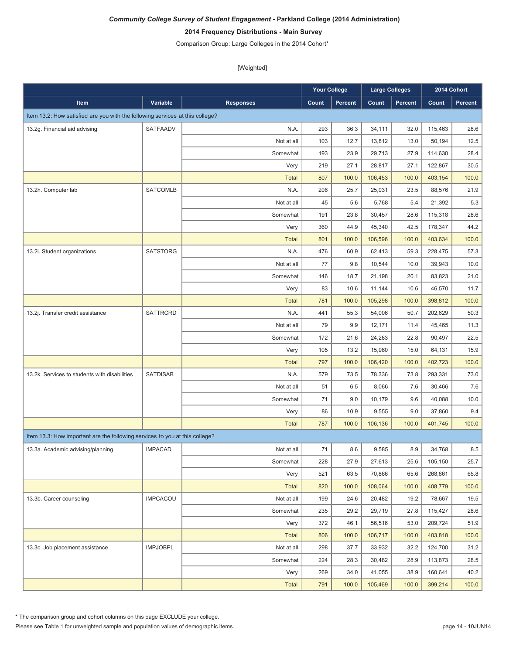# **2014 Frequency Distributions - Main Survey**

Comparison Group: Large Colleges in the 2014 Cohort\*

[Weighted]

|                                                                               |                 |                  | <b>Your College</b> |                | <b>Large Colleges</b> |         |         | 2014 Cohort |
|-------------------------------------------------------------------------------|-----------------|------------------|---------------------|----------------|-----------------------|---------|---------|-------------|
| Item                                                                          | Variable        | <b>Responses</b> | Count               | <b>Percent</b> | Count                 | Percent | Count   | Percent     |
| Item 13.2: How satisfied are you with the following services at this college? |                 |                  |                     |                |                       |         |         |             |
| 13.2g. Financial aid advising                                                 | SATFAADV        | N.A.             | 293                 | 36.3           | 34,111                | 32.0    | 115,463 | 28.6        |
|                                                                               |                 | Not at all       | 103                 | 12.7           | 13,812                | 13.0    | 50,194  | 12.5        |
|                                                                               |                 | Somewhat         | 193                 | 23.9           | 29,713                | 27.9    | 114,630 | 28.4        |
|                                                                               |                 | Very             | 219                 | 27.1           | 28,817                | 27.1    | 122,867 | 30.5        |
|                                                                               |                 | <b>Total</b>     | 807                 | 100.0          | 106,453               | 100.0   | 403,154 | 100.0       |
| 13.2h. Computer lab                                                           | <b>SATCOMLB</b> | N.A.             | 206                 | 25.7           | 25,031                | 23.5    | 88,576  | 21.9        |
|                                                                               |                 | Not at all       | 45                  | 5.6            | 5,768                 | 5.4     | 21,392  | 5.3         |
|                                                                               |                 | Somewhat         | 191                 | 23.8           | 30,457                | 28.6    | 115,318 | 28.6        |
|                                                                               |                 | Very             | 360                 | 44.9           | 45,340                | 42.5    | 178,347 | 44.2        |
|                                                                               |                 | <b>Total</b>     | 801                 | 100.0          | 106,596               | 100.0   | 403,634 | 100.0       |
| 13.2i. Student organizations                                                  | <b>SATSTORG</b> | N.A.             | 476                 | 60.9           | 62,413                | 59.3    | 228,475 | 57.3        |
|                                                                               |                 | Not at all       | 77                  | 9.8            | 10,544                | 10.0    | 39,943  | 10.0        |
|                                                                               |                 | Somewhat         | 146                 | 18.7           | 21,198                | 20.1    | 83.823  | 21.0        |
|                                                                               |                 | Very             | 83                  | 10.6           | 11,144                | 10.6    | 46,570  | 11.7        |
|                                                                               |                 | <b>Total</b>     | 781                 | 100.0          | 105,298               | 100.0   | 398,812 | 100.0       |
| 13.2j. Transfer credit assistance                                             | <b>SATTRCRD</b> | N.A.             | 441                 | 55.3           | 54,006                | 50.7    | 202,629 | 50.3        |
|                                                                               |                 | Not at all       | 79                  | 9.9            | 12,171                | 11.4    | 45,465  | 11.3        |
|                                                                               |                 | Somewhat         | 172                 | 21.6           | 24,283                | 22.8    | 90,497  | 22.5        |
|                                                                               |                 | Very             | 105                 | 13.2           | 15,960                | 15.0    | 64,131  | 15.9        |
|                                                                               |                 | <b>Total</b>     | 797                 | 100.0          | 106,420               | 100.0   | 402,723 | 100.0       |
| 13.2k. Services to students with disabilities                                 | <b>SATDISAB</b> | N.A.             | 579                 | 73.5           | 78,336                | 73.8    | 293,331 | 73.0        |
|                                                                               |                 | Not at all       | 51                  | 6.5            | 8,066                 | 7.6     | 30,466  | 7.6         |
|                                                                               |                 | Somewhat         | 71                  | 9.0            | 10,179                | 9.6     | 40,088  | 10.0        |
|                                                                               |                 | Very             | 86                  | 10.9           | 9,555                 | 9.0     | 37,860  | 9.4         |
|                                                                               |                 | <b>Total</b>     | 787                 | 100.0          | 106,136               | 100.0   | 401,745 | 100.0       |
| Item 13.3: How important are the following services to you at this college?   |                 |                  |                     |                |                       |         |         |             |
| 13.3a. Academic advising/planning                                             | <b>IMPACAD</b>  | Not at all       | 71                  | 8.6            | 9,585                 | 8.9     | 34,768  | 8.5         |
|                                                                               |                 | Somewhat         | 228                 | 27.9           | 27,613                | 25.6    | 105,150 | 25.7        |
|                                                                               |                 | Very             | 521                 | 63.5           | 70,866                | 65.6    | 268,861 | 65.8        |
|                                                                               |                 | <b>Total</b>     | 820                 | 100.0          | 108,064               | 100.0   | 408,779 | 100.0       |
| 13.3b. Career counseling                                                      | <b>IMPCACOU</b> | Not at all       | 199                 | 24.6           | 20,482                | 19.2    | 78,667  | 19.5        |
|                                                                               |                 | Somewhat         | 235                 | 29.2           | 29,719                | 27.8    | 115,427 | 28.6        |
|                                                                               |                 | Very             | 372                 | 46.1           | 56,516                | 53.0    | 209,724 | 51.9        |
|                                                                               |                 | <b>Total</b>     | 806                 | 100.0          | 106,717               | 100.0   | 403,818 | 100.0       |
| 13.3c. Job placement assistance                                               | <b>IMPJOBPL</b> | Not at all       | 298                 | 37.7           | 33,932                | 32.2    | 124,700 | 31.2        |
|                                                                               |                 | Somewhat         | 224                 | 28.3           | 30,482                | 28.9    | 113,873 | 28.5        |
|                                                                               |                 | Very             | 269                 | 34.0           | 41,055                | 38.9    | 160,641 | 40.2        |
|                                                                               |                 | <b>Total</b>     | 791                 | 100.0          | 105,469               | 100.0   | 399,214 | 100.0       |

\* The comparison group and cohort columns on this page EXCLUDE your college.

Please see Table 1 for unweighted sample and population values of demographic items.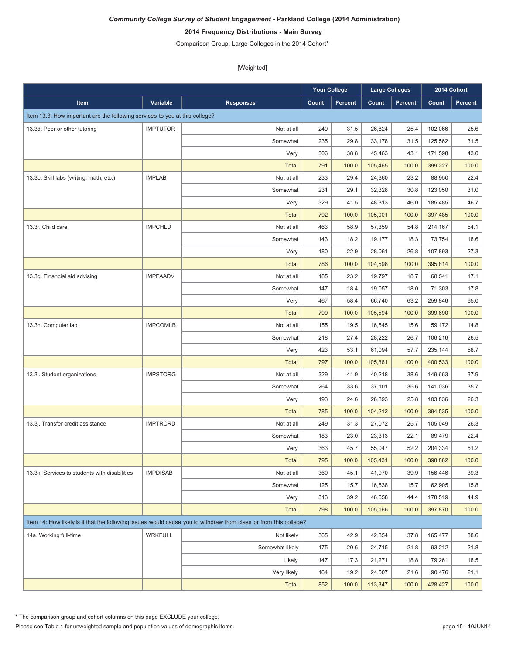# **2014 Frequency Distributions - Main Survey**

Comparison Group: Large Colleges in the 2014 Cohort\*

[Weighted]

|                                                                             |                 |                                                                                                                  | <b>Your College</b> |                | <b>Large Colleges</b> |                |         | 2014 Cohort    |
|-----------------------------------------------------------------------------|-----------------|------------------------------------------------------------------------------------------------------------------|---------------------|----------------|-----------------------|----------------|---------|----------------|
| Item                                                                        | Variable        | <b>Responses</b>                                                                                                 | Count               | <b>Percent</b> | Count                 | <b>Percent</b> | Count   | <b>Percent</b> |
| Item 13.3: How important are the following services to you at this college? |                 |                                                                                                                  |                     |                |                       |                |         |                |
| 13.3d. Peer or other tutoring                                               | <b>IMPTUTOR</b> | Not at all                                                                                                       | 249                 | 31.5           | 26,824                | 25.4           | 102,066 | 25.6           |
|                                                                             |                 | Somewhat                                                                                                         | 235                 | 29.8           | 33,178                | 31.5           | 125,562 | 31.5           |
|                                                                             |                 | Very                                                                                                             | 306                 | 38.8           | 45,463                | 43.1           | 171,598 | 43.0           |
|                                                                             |                 | <b>Total</b>                                                                                                     | 791                 | 100.0          | 105,465               | 100.0          | 399,227 | 100.0          |
| 13.3e. Skill labs (writing, math, etc.)                                     | <b>IMPLAB</b>   | Not at all                                                                                                       | 233                 | 29.4           | 24,360                | 23.2           | 88,950  | 22.4           |
|                                                                             |                 | Somewhat                                                                                                         | 231                 | 29.1           | 32,328                | 30.8           | 123,050 | 31.0           |
|                                                                             |                 | Very                                                                                                             | 329                 | 41.5           | 48,313                | 46.0           | 185,485 | 46.7           |
|                                                                             |                 | <b>Total</b>                                                                                                     | 792                 | 100.0          | 105,001               | 100.0          | 397,485 | 100.0          |
| 13.3f. Child care                                                           | <b>IMPCHLD</b>  | Not at all                                                                                                       | 463                 | 58.9           | 57,359                | 54.8           | 214,167 | 54.1           |
|                                                                             |                 | Somewhat                                                                                                         | 143                 | 18.2           | 19,177                | 18.3           | 73,754  | 18.6           |
|                                                                             |                 | Very                                                                                                             | 180                 | 22.9           | 28,061                | 26.8           | 107,893 | 27.3           |
|                                                                             |                 | <b>Total</b>                                                                                                     | 786                 | 100.0          | 104,598               | 100.0          | 395,814 | 100.0          |
| 13.3g. Financial aid advising                                               | <b>IMPFAADV</b> | Not at all                                                                                                       | 185                 | 23.2           | 19.797                | 18.7           | 68,541  | 17.1           |
|                                                                             |                 | Somewhat                                                                                                         | 147                 | 18.4           | 19,057                | 18.0           | 71,303  | 17.8           |
|                                                                             |                 | Very                                                                                                             | 467                 | 58.4           | 66,740                | 63.2           | 259.846 | 65.0           |
|                                                                             |                 | <b>Total</b>                                                                                                     | 799                 | 100.0          | 105,594               | 100.0          | 399,690 | 100.0          |
| 13.3h. Computer lab                                                         | <b>IMPCOMLB</b> | Not at all                                                                                                       | 155                 | 19.5           | 16,545                | 15.6           | 59,172  | 14.8           |
|                                                                             |                 | Somewhat                                                                                                         | 218                 | 27.4           | 28,222                | 26.7           | 106,216 | 26.5           |
|                                                                             |                 | Very                                                                                                             | 423                 | 53.1           | 61,094                | 57.7           | 235,144 | 58.7           |
|                                                                             |                 | <b>Total</b>                                                                                                     | 797                 | 100.0          | 105,861               | 100.0          | 400,533 | 100.0          |
| 13.3i. Student organizations                                                | <b>IMPSTORG</b> | Not at all                                                                                                       | 329                 | 41.9           | 40,218                | 38.6           | 149,663 | 37.9           |
|                                                                             |                 | Somewhat                                                                                                         | 264                 | 33.6           | 37,101                | 35.6           | 141,036 | 35.7           |
|                                                                             |                 | Very                                                                                                             | 193                 | 24.6           | 26,893                | 25.8           | 103,836 | 26.3           |
|                                                                             |                 | <b>Total</b>                                                                                                     | 785                 | 100.0          | 104,212               | 100.0          | 394,535 | 100.0          |
| 13.3j. Transfer credit assistance                                           | <b>IMPTRCRD</b> | Not at all                                                                                                       | 249                 | 31.3           | 27,072                | 25.7           | 105,049 | 26.3           |
|                                                                             |                 | Somewhat                                                                                                         | 183                 | 23.0           | 23,313                | 22.1           | 89,479  | 22.4           |
|                                                                             |                 | Very                                                                                                             | 363                 | 45.7           | 55,047                | 52.2           | 204.334 | 51.2           |
|                                                                             |                 | <b>Total</b>                                                                                                     | 795                 | 100.0          | 105,431               | 100.0          | 398,862 | 100.0          |
| 13.3k. Services to students with disabilities                               | <b>IMPDISAB</b> | Not at all                                                                                                       | 360                 | 45.1           | 41,970                | 39.9           | 156,446 | 39.3           |
|                                                                             |                 | Somewhat                                                                                                         | 125                 | 15.7           | 16,538                | 15.7           | 62,905  | 15.8           |
|                                                                             |                 | Very                                                                                                             | 313                 | 39.2           | 46,658                | 44.4           | 178,519 | 44.9           |
|                                                                             |                 | <b>Total</b>                                                                                                     | 798                 | 100.0          | 105,166               | 100.0          | 397,870 | 100.0          |
|                                                                             |                 | Item 14: How likely is it that the following issues would cause you to withdraw from class or from this college? |                     |                |                       |                |         |                |
| 14a. Working full-time                                                      | <b>WRKFULL</b>  | Not likely                                                                                                       | 365                 | 42.9           | 42,854                | 37.8           | 165,477 | 38.6           |
|                                                                             |                 | Somewhat likely                                                                                                  | 175                 | 20.6           | 24,715                | 21.8           | 93,212  | 21.8           |
|                                                                             |                 | Likely                                                                                                           | 147                 | 17.3           | 21,271                | 18.8           | 79,261  | 18.5           |
|                                                                             |                 | Very likely                                                                                                      | 164                 | 19.2           | 24,507                | 21.6           | 90,476  | 21.1           |
|                                                                             |                 | <b>Total</b>                                                                                                     | 852                 | 100.0          | 113,347               | 100.0          | 428,427 | 100.0          |

\* The comparison group and cohort columns on this page EXCLUDE your college.

Please see Table 1 for unweighted sample and population values of demographic items.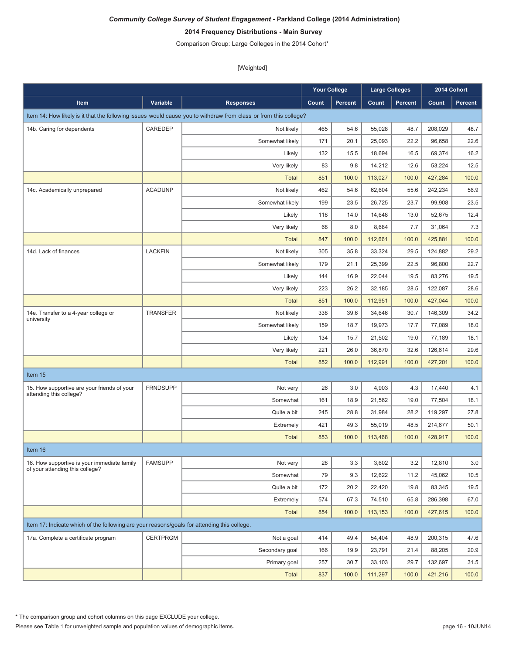# **2014 Frequency Distributions - Main Survey**

Comparison Group: Large Colleges in the 2014 Cohort\*

|                                                                                             |                 |                                                                                                                  | <b>Your College</b> |                | <b>Large Colleges</b> |                |         | 2014 Cohort    |
|---------------------------------------------------------------------------------------------|-----------------|------------------------------------------------------------------------------------------------------------------|---------------------|----------------|-----------------------|----------------|---------|----------------|
| Item                                                                                        | Variable        | <b>Responses</b>                                                                                                 | Count               | <b>Percent</b> | Count                 | <b>Percent</b> | Count   | <b>Percent</b> |
|                                                                                             |                 | Item 14: How likely is it that the following issues would cause you to withdraw from class or from this college? |                     |                |                       |                |         |                |
| 14b. Caring for dependents                                                                  | CAREDEP         | Not likely                                                                                                       | 465                 | 54.6           | 55,028                | 48.7           | 208,029 | 48.7           |
|                                                                                             |                 | Somewhat likely                                                                                                  | 171                 | 20.1           | 25.093                | 22.2           | 96,658  | 22.6           |
|                                                                                             |                 | Likely                                                                                                           | 132                 | 15.5           | 18,694                | 16.5           | 69,374  | 16.2           |
|                                                                                             |                 | Very likely                                                                                                      | 83                  | 9.8            | 14,212                | 12.6           | 53,224  | 12.5           |
|                                                                                             |                 | <b>Total</b>                                                                                                     | 851                 | 100.0          | 113,027               | 100.0          | 427,284 | 100.0          |
| 14c. Academically unprepared                                                                | <b>ACADUNP</b>  | Not likely                                                                                                       | 462                 | 54.6           | 62,604                | 55.6           | 242,234 | 56.9           |
|                                                                                             |                 | Somewhat likely                                                                                                  | 199                 | 23.5           | 26,725                | 23.7           | 99,908  | 23.5           |
|                                                                                             |                 | Likely                                                                                                           | 118                 | 14.0           | 14,648                | 13.0           | 52,675  | 12.4           |
|                                                                                             |                 | Very likely                                                                                                      | 68                  | 8.0            | 8,684                 | 7.7            | 31,064  | 7.3            |
|                                                                                             |                 | <b>Total</b>                                                                                                     | 847                 | 100.0          | 112,661               | 100.0          | 425,881 | 100.0          |
| 14d. Lack of finances                                                                       | <b>LACKFIN</b>  | Not likely                                                                                                       | 305                 | 35.8           | 33,324                | 29.5           | 124,882 | 29.2           |
|                                                                                             |                 | Somewhat likely                                                                                                  | 179                 | 21.1           | 25,399                | 22.5           | 96,800  | 22.7           |
|                                                                                             |                 | Likely                                                                                                           | 144                 | 16.9           | 22,044                | 19.5           | 83.276  | 19.5           |
|                                                                                             |                 | Very likely                                                                                                      | 223                 | 26.2           | 32,185                | 28.5           | 122,087 | 28.6           |
|                                                                                             |                 | <b>Total</b>                                                                                                     | 851                 | 100.0          | 112,951               | 100.0          | 427.044 | 100.0          |
| 14e. Transfer to a 4-year college or<br>university                                          | <b>TRANSFER</b> | Not likely                                                                                                       | 338                 | 39.6           | 34.646                | 30.7           | 146,309 | 34.2           |
|                                                                                             |                 | Somewhat likely                                                                                                  | 159                 | 18.7           | 19,973                | 17.7           | 77,089  | 18.0           |
|                                                                                             |                 | Likely                                                                                                           | 134                 | 15.7           | 21,502                | 19.0           | 77,189  | 18.1           |
|                                                                                             |                 | Very likely                                                                                                      | 221                 | 26.0           | 36,870                | 32.6           | 126,614 | 29.6           |
|                                                                                             |                 | <b>Total</b>                                                                                                     | 852                 | 100.0          | 112,991               | 100.0          | 427,201 | 100.0          |
| Item 15                                                                                     |                 |                                                                                                                  |                     |                |                       |                |         |                |
| 15. How supportive are your friends of your                                                 | <b>FRNDSUPP</b> | Not very                                                                                                         | 26                  | 3.0            | 4,903                 | 4.3            | 17,440  | 4.1            |
| attending this college?                                                                     |                 | Somewhat                                                                                                         | 161                 | 18.9           | 21,562                | 19.0           | 77,504  | 18.1           |
|                                                                                             |                 | Quite a bit                                                                                                      | 245                 | 28.8           | 31,984                | 28.2           | 119,297 | 27.8           |
|                                                                                             |                 | Extremely                                                                                                        | 421                 | 49.3           | 55,019                | 48.5           | 214,677 | 50.1           |
|                                                                                             |                 | <b>Total</b>                                                                                                     | 853                 | 100.0          | 113.468               | 100.0          | 428,917 | 100.0          |
| Item 16                                                                                     |                 |                                                                                                                  |                     |                |                       |                |         |                |
| 16. How supportive is your immediate family                                                 | <b>FAMSUPP</b>  | Not very                                                                                                         | 28                  | 3.3            | 3,602                 | 3.2            | 12,810  | 3.0            |
| of your attending this college?                                                             |                 | Somewhat                                                                                                         | 79                  | 9.3            | 12,622                | 11.2           | 45,062  | 10.5           |
|                                                                                             |                 | Quite a bit                                                                                                      | 172                 | 20.2           | 22,420                | 19.8           | 83,345  | 19.5           |
|                                                                                             |                 | Extremely                                                                                                        | 574                 | 67.3           | 74,510                | 65.8           | 286,398 | 67.0           |
|                                                                                             |                 | <b>Total</b>                                                                                                     | 854                 | 100.0          | 113,153               | 100.0          | 427,615 | 100.0          |
| Item 17: Indicate which of the following are your reasons/goals for attending this college. |                 |                                                                                                                  |                     |                |                       |                |         |                |
| 17a. Complete a certificate program                                                         | <b>CERTPRGM</b> | Not a goal                                                                                                       | 414                 | 49.4           | 54,404                | 48.9           | 200,315 | 47.6           |
|                                                                                             |                 | Secondary goal                                                                                                   | 166                 | 19.9           | 23,791                | 21.4           | 88,205  | 20.9           |
|                                                                                             |                 | Primary goal                                                                                                     | 257                 | 30.7           | 33,103                | 29.7           | 132,697 | 31.5           |
|                                                                                             |                 | <b>Total</b>                                                                                                     | 837                 | 100.0          | 111,297               | 100.0          | 421,216 | 100.0          |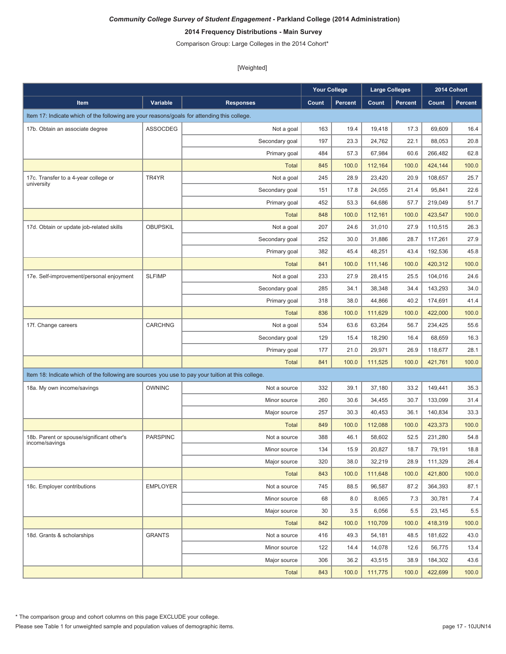# **2014 Frequency Distributions - Main Survey**

Comparison Group: Large Colleges in the 2014 Cohort\*

|                                                                                                   |                 |                  | <b>Your College</b> |                | <b>Large Colleges</b> |         |         | 2014 Cohort    |
|---------------------------------------------------------------------------------------------------|-----------------|------------------|---------------------|----------------|-----------------------|---------|---------|----------------|
| Item                                                                                              | Variable        | <b>Responses</b> | Count               | <b>Percent</b> | Count                 | Percent | Count   | <b>Percent</b> |
| Item 17: Indicate which of the following are your reasons/goals for attending this college.       |                 |                  |                     |                |                       |         |         |                |
| 17b. Obtain an associate degree                                                                   | ASSOCDEG        | Not a goal       | 163                 | 19.4           | 19,418                | 17.3    | 69,609  | 16.4           |
|                                                                                                   |                 | Secondary goal   | 197                 | 23.3           | 24,762                | 22.1    | 88,053  | 20.8           |
|                                                                                                   |                 | Primary goal     | 484                 | 57.3           | 67,984                | 60.6    | 266,482 | 62.8           |
|                                                                                                   |                 | <b>Total</b>     | 845                 | 100.0          | 112,164               | 100.0   | 424,144 | 100.0          |
| 17c. Transfer to a 4-year college or<br>university                                                | TR4YR           | Not a goal       | 245                 | 28.9           | 23,420                | 20.9    | 108,657 | 25.7           |
|                                                                                                   |                 | Secondary goal   | 151                 | 17.8           | 24,055                | 21.4    | 95,841  | 22.6           |
|                                                                                                   |                 | Primary goal     | 452                 | 53.3           | 64,686                | 57.7    | 219,049 | 51.7           |
|                                                                                                   |                 | <b>Total</b>     | 848                 | 100.0          | 112,161               | 100.0   | 423,547 | 100.0          |
| 17d. Obtain or update job-related skills                                                          | <b>OBUPSKIL</b> | Not a goal       | 207                 | 24.6           | 31,010                | 27.9    | 110,515 | 26.3           |
|                                                                                                   |                 | Secondary goal   | 252                 | 30.0           | 31,886                | 28.7    | 117,261 | 27.9           |
|                                                                                                   |                 | Primary goal     | 382                 | 45.4           | 48,251                | 43.4    | 192,536 | 45.8           |
|                                                                                                   |                 | <b>Total</b>     | 841                 | 100.0          | 111,146               | 100.0   | 420,312 | 100.0          |
| 17e. Self-improvement/personal enjoyment                                                          | <b>SLFIMP</b>   | Not a goal       | 233                 | 27.9           | 28,415                | 25.5    | 104,016 | 24.6           |
|                                                                                                   |                 | Secondary goal   | 285                 | 34.1           | 38,348                | 34.4    | 143,293 | 34.0           |
|                                                                                                   |                 | Primary goal     | 318                 | 38.0           | 44,866                | 40.2    | 174,691 | 41.4           |
|                                                                                                   |                 | <b>Total</b>     | 836                 | 100.0          | 111,629               | 100.0   | 422,000 | 100.0          |
| 17f. Change careers                                                                               | <b>CARCHNG</b>  | Not a goal       | 534                 | 63.6           | 63,264                | 56.7    | 234,425 | 55.6           |
|                                                                                                   |                 | Secondary goal   | 129                 | 15.4           | 18,290                | 16.4    | 68,659  | 16.3           |
|                                                                                                   |                 | Primary goal     | 177                 | 21.0           | 29,971                | 26.9    | 118,677 | 28.1           |
|                                                                                                   |                 | <b>Total</b>     | 841                 | 100.0          | 111,525               | 100.0   | 421,761 | 100.0          |
| Item 18: Indicate which of the following are sources you use to pay your tuition at this college. |                 |                  |                     |                |                       |         |         |                |
| 18a. My own income/savings                                                                        | <b>OWNINC</b>   | Not a source     | 332                 | 39.1           | 37,180                | 33.2    | 149,441 | 35.3           |
|                                                                                                   |                 | Minor source     | 260                 | 30.6           | 34,455                | 30.7    | 133,099 | 31.4           |
|                                                                                                   |                 | Major source     | 257                 | 30.3           | 40,453                | 36.1    | 140,834 | 33.3           |
|                                                                                                   |                 | <b>Total</b>     | 849                 | 100.0          | 112,088               | 100.0   | 423,373 | 100.0          |
| 18b. Parent or spouse/significant other's                                                         | <b>PARSPINC</b> | Not a source     | 388                 | 46.1           | 58,602                | 52.5    | 231,280 | 54.8           |
| income/savings                                                                                    |                 | Minor source     | 134                 | 15.9           | 20,827                | 18.7    | 79.191  | 18.8           |
|                                                                                                   |                 | Major source     | 320                 | 38.0           | 32,219                | 28.9    | 111,329 | 26.4           |
|                                                                                                   |                 | <b>Total</b>     | 843                 | 100.0          | 111,648               | 100.0   | 421,800 | 100.0          |
| 18c. Employer contributions                                                                       | <b>EMPLOYER</b> | Not a source     | 745                 | 88.5           | 96,587                | 87.2    | 364,393 | 87.1           |
|                                                                                                   |                 | Minor source     | 68                  | 8.0            | 8,065                 | 7.3     | 30,781  | 7.4            |
|                                                                                                   |                 | Major source     | 30                  | 3.5            | 6,056                 | 5.5     | 23,145  | 5.5            |
|                                                                                                   |                 | Total            | 842                 | 100.0          | 110,709               | 100.0   | 418,319 | 100.0          |
| 18d. Grants & scholarships                                                                        | <b>GRANTS</b>   | Not a source     | 416                 | 49.3           | 54,181                | 48.5    | 181,622 | 43.0           |
|                                                                                                   |                 | Minor source     | 122                 | 14.4           | 14,078                | 12.6    | 56,775  | 13.4           |
|                                                                                                   |                 | Major source     | 306                 | 36.2           | 43,515                | 38.9    | 184,302 | 43.6           |
|                                                                                                   |                 | Total            | 843                 | 100.0          | 111,775               | 100.0   | 422,699 | 100.0          |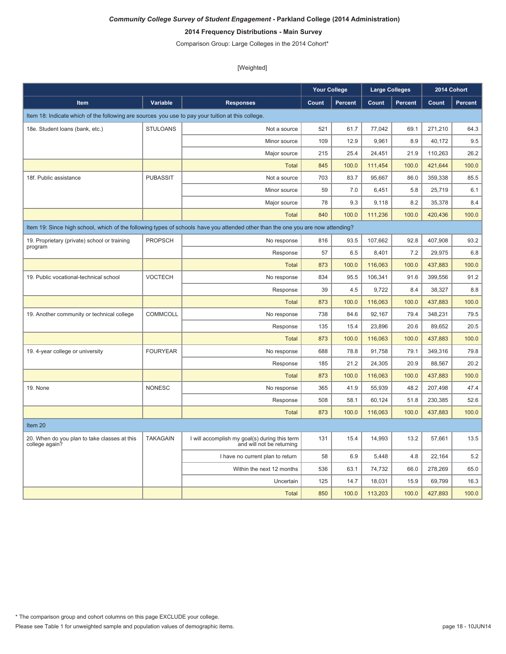# **2014 Frequency Distributions - Main Survey**

Comparison Group: Large Colleges in the 2014 Cohort\*

|                                                                                                   |                 |                                                                                                                                 | <b>Your College</b> |                | <b>Large Colleges</b> |                | 2014 Cohort |         |
|---------------------------------------------------------------------------------------------------|-----------------|---------------------------------------------------------------------------------------------------------------------------------|---------------------|----------------|-----------------------|----------------|-------------|---------|
| <b>Item</b>                                                                                       | Variable        | <b>Responses</b>                                                                                                                | Count               | <b>Percent</b> | Count                 | <b>Percent</b> | Count       | Percent |
| Item 18: Indicate which of the following are sources you use to pay your tuition at this college. |                 |                                                                                                                                 |                     |                |                       |                |             |         |
| 18e. Student loans (bank, etc.)                                                                   | <b>STULOANS</b> | Not a source                                                                                                                    | 521                 | 61.7           | 77,042                | 69.1           | 271,210     | 64.3    |
|                                                                                                   |                 | Minor source                                                                                                                    | 109                 | 12.9           | 9,961                 | 8.9            | 40,172      | 9.5     |
|                                                                                                   |                 | Major source                                                                                                                    | 215                 | 25.4           | 24,451                | 21.9           | 110,263     | 26.2    |
|                                                                                                   |                 | <b>Total</b>                                                                                                                    | 845                 | 100.0          | 111,454               | 100.0          | 421,644     | 100.0   |
| 18f. Public assistance                                                                            | <b>PUBASSIT</b> | Not a source                                                                                                                    | 703                 | 83.7           | 95,667                | 86.0           | 359,338     | 85.5    |
|                                                                                                   |                 | Minor source                                                                                                                    | 59                  | 7.0            | 6,451                 | 5.8            | 25,719      | 6.1     |
|                                                                                                   |                 | Major source                                                                                                                    | 78                  | 9.3            | 9,118                 | 8.2            | 35,378      | 8.4     |
|                                                                                                   |                 | <b>Total</b>                                                                                                                    | 840                 | 100.0          | 111,236               | 100.0          | 420,436     | 100.0   |
|                                                                                                   |                 | Item 19: Since high school, which of the following types of schools have you attended other than the one you are now attending? |                     |                |                       |                |             |         |
| 19. Proprietary (private) school or training                                                      | <b>PROPSCH</b>  | No response                                                                                                                     | 816                 | 93.5           | 107,662               | 92.8           | 407,908     | 93.2    |
| program                                                                                           |                 | Response                                                                                                                        | 57                  | 6.5            | 8,401                 | 7.2            | 29,975      | 6.8     |
|                                                                                                   |                 | <b>Total</b>                                                                                                                    | 873                 | 100.0          | 116,063               | 100.0          | 437,883     | 100.0   |
| 19. Public vocational-technical school                                                            | <b>VOCTECH</b>  | No response                                                                                                                     | 834                 | 95.5           | 106,341               | 91.6           | 399,556     | 91.2    |
|                                                                                                   |                 | Response                                                                                                                        | 39                  | 4.5            | 9.722                 | 8.4            | 38,327      | 8.8     |
|                                                                                                   |                 | <b>Total</b>                                                                                                                    | 873                 | 100.0          | 116,063               | 100.0          | 437,883     | 100.0   |
| 19. Another community or technical college                                                        | COMMCOLL        | No response                                                                                                                     | 738                 | 84.6           | 92,167                | 79.4           | 348,231     | 79.5    |
|                                                                                                   |                 | Response                                                                                                                        | 135                 | 15.4           | 23,896                | 20.6           | 89,652      | 20.5    |
|                                                                                                   |                 | <b>Total</b>                                                                                                                    | 873                 | 100.0          | 116,063               | 100.0          | 437,883     | 100.0   |
| 19. 4-year college or university                                                                  | <b>FOURYEAR</b> | No response                                                                                                                     | 688                 | 78.8           | 91,758                | 79.1           | 349,316     | 79.8    |
|                                                                                                   |                 | Response                                                                                                                        | 185                 | 21.2           | 24,305                | 20.9           | 88,567      | 20.2    |
|                                                                                                   |                 | <b>Total</b>                                                                                                                    | 873                 | 100.0          | 116,063               | 100.0          | 437,883     | 100.0   |
| 19. None                                                                                          | <b>NONESC</b>   | No response                                                                                                                     | 365                 | 41.9           | 55,939                | 48.2           | 207,498     | 47.4    |
|                                                                                                   |                 | Response                                                                                                                        | 508                 | 58.1           | 60.124                | 51.8           | 230.385     | 52.6    |
|                                                                                                   |                 | <b>Total</b>                                                                                                                    | 873                 | 100.0          | 116.063               | 100.0          | 437.883     | 100.0   |
| Item 20                                                                                           |                 |                                                                                                                                 |                     |                |                       |                |             |         |
| 20. When do you plan to take classes at this<br>college again?                                    | <b>TAKAGAIN</b> | I will accomplish my goal(s) during this term<br>and will not be returning                                                      | 131                 | 15.4           | 14,993                | 13.2           | 57,661      | 13.5    |
|                                                                                                   |                 | I have no current plan to return                                                                                                | 58                  | 6.9            | 5,448                 | 4.8            | 22,164      | 5.2     |
|                                                                                                   |                 | Within the next 12 months                                                                                                       | 536                 | 63.1           | 74,732                | 66.0           | 278,269     | 65.0    |
|                                                                                                   |                 | Uncertain                                                                                                                       | 125                 | 14.7           | 18,031                | 15.9           | 69,799      | 16.3    |
|                                                                                                   |                 | Total                                                                                                                           | 850                 | 100.0          | 113,203               | 100.0          | 427.893     | 100.0   |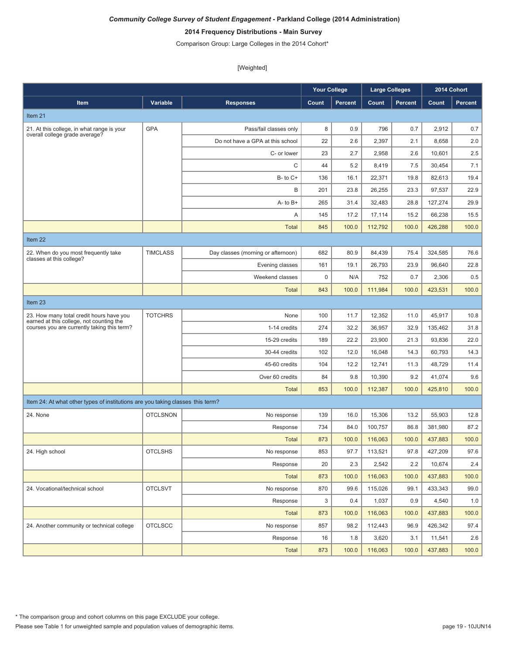# **2014 Frequency Distributions - Main Survey**

Comparison Group: Large Colleges in the 2014 Cohort\*

|                                                                                      |                 |                                    | <b>Your College</b> |         | <b>Large Colleges</b> |         |         | 2014 Cohort |
|--------------------------------------------------------------------------------------|-----------------|------------------------------------|---------------------|---------|-----------------------|---------|---------|-------------|
| Item                                                                                 | Variable        | <b>Responses</b>                   | Count               | Percent | Count                 | Percent | Count   | Percent     |
| Item 21                                                                              |                 |                                    |                     |         |                       |         |         |             |
| 21. At this college, in what range is your                                           | <b>GPA</b>      | Pass/fail classes only             | 8                   | 0.9     | 796                   | 0.7     | 2,912   | 0.7         |
| overall college grade average?                                                       |                 | Do not have a GPA at this school   | 22                  | 2.6     | 2,397                 | 2.1     | 8,658   | 2.0         |
|                                                                                      |                 | C- or lower                        | 23                  | 2.7     | 2,958                 | 2.6     | 10,601  | 2.5         |
|                                                                                      |                 | C                                  | 44                  | 5.2     | 8,419                 | 7.5     | 30,454  | 7.1         |
|                                                                                      |                 | $B - to C +$                       | 136                 | 16.1    | 22,371                | 19.8    | 82,613  | 19.4        |
|                                                                                      |                 | B                                  | 201                 | 23.8    | 26,255                | 23.3    | 97,537  | 22.9        |
|                                                                                      |                 | $A - to B +$                       | 265                 | 31.4    | 32.483                | 28.8    | 127.274 | 29.9        |
|                                                                                      |                 | Α                                  | 145                 | 17.2    | 17,114                | 15.2    | 66,238  | 15.5        |
|                                                                                      |                 | <b>Total</b>                       | 845                 | 100.0   | 112,792               | 100.0   | 426,288 | 100.0       |
| Item 22                                                                              |                 |                                    |                     |         |                       |         |         |             |
| 22. When do you most frequently take                                                 | <b>TIMCLASS</b> | Day classes (morning or afternoon) | 682                 | 80.9    | 84,439                | 75.4    | 324,585 | 76.6        |
| classes at this college?                                                             |                 | Evening classes                    | 161                 | 19.1    | 26,793                | 23.9    | 96,640  | 22.8        |
|                                                                                      |                 | Weekend classes                    | $\mathsf 0$         | N/A     | 752                   | 0.7     | 2,306   | 0.5         |
|                                                                                      |                 | <b>Total</b>                       | 843                 | 100.0   | 111,984               | 100.0   | 423,531 | 100.0       |
| Item 23                                                                              |                 |                                    |                     |         |                       |         |         |             |
| 23. How many total credit hours have you<br>earned at this college, not counting the | <b>TOTCHRS</b>  | None                               | 100                 | 11.7    | 12,352                | 11.0    | 45,917  | 10.8        |
| courses you are currently taking this term?                                          |                 | 1-14 credits                       | 274                 | 32.2    | 36,957                | 32.9    | 135,462 | 31.8        |
|                                                                                      |                 | 15-29 credits                      | 189                 | 22.2    | 23,900                | 21.3    | 93,836  | 22.0        |
|                                                                                      |                 | 30-44 credits                      | 102                 | 12.0    | 16,048                | 14.3    | 60,793  | 14.3        |
|                                                                                      |                 | 45-60 credits                      | 104                 | 12.2    | 12,741                | 11.3    | 48,729  | 11.4        |
|                                                                                      |                 | Over 60 credits                    | 84                  | 9.8     | 10,390                | 9.2     | 41,074  | 9.6         |
|                                                                                      |                 | <b>Total</b>                       | 853                 | 100.0   | 112,387               | 100.0   | 425,810 | 100.0       |
| Item 24: At what other types of institutions are you taking classes this term?       |                 |                                    |                     |         |                       |         |         |             |
| 24. None                                                                             | <b>OTCLSNON</b> | No response                        | 139                 | 16.0    | 15.306                | 13.2    | 55.903  | 12.8        |
|                                                                                      |                 | Response                           | 734                 | 84.0    | 100,757               | 86.8    | 381,980 | 87.2        |
|                                                                                      |                 | <b>Total</b>                       | 873                 | 100.0   | 116,063               | 100.0   | 437,883 | 100.0       |
| 24. High school                                                                      | <b>OTCLSHS</b>  | No response                        | 853                 | 97.7    | 113,521               | 97.8    | 427,209 | 97.6        |
|                                                                                      |                 | Response                           | 20                  | 2.3     | 2,542                 | 2.2     | 10,674  | 2.4         |
|                                                                                      |                 | <b>Total</b>                       | 873                 | 100.0   | 116,063               | 100.0   | 437,883 | 100.0       |
| 24. Vocational/technical school                                                      | <b>OTCLSVT</b>  | No response                        | 870                 | 99.6    | 115,026               | 99.1    | 433,343 | 99.0        |
|                                                                                      |                 | Response                           | 3                   | 0.4     | 1,037                 | 0.9     | 4,540   | 1.0         |
|                                                                                      |                 | <b>Total</b>                       | 873                 | 100.0   | 116,063               | 100.0   | 437,883 | 100.0       |
| 24. Another community or technical college                                           | <b>OTCLSCC</b>  | No response                        | 857                 | 98.2    | 112,443               | 96.9    | 426,342 | 97.4        |
|                                                                                      |                 | Response                           | 16                  | 1.8     | 3,620                 | 3.1     | 11,541  | 2.6         |
|                                                                                      |                 | <b>Total</b>                       | 873                 | 100.0   | 116,063               | 100.0   | 437,883 | 100.0       |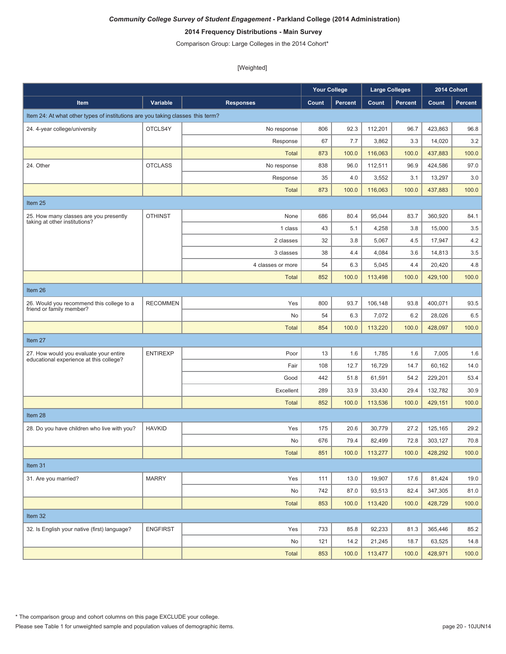# **2014 Frequency Distributions - Main Survey**

Comparison Group: Large Colleges in the 2014 Cohort\*

|                                                                                   |                 |                   | <b>Your College</b> |                | Large Colleges |                |         | 2014 Cohort |
|-----------------------------------------------------------------------------------|-----------------|-------------------|---------------------|----------------|----------------|----------------|---------|-------------|
| Item                                                                              | Variable        | <b>Responses</b>  | Count               | <b>Percent</b> | Count          | <b>Percent</b> | Count   | Percent     |
| Item 24: At what other types of institutions are you taking classes this term?    |                 |                   |                     |                |                |                |         |             |
| 24. 4-year college/university                                                     | OTCLS4Y         | No response       | 806                 | 92.3           | 112,201        | 96.7           | 423,863 | 96.8        |
|                                                                                   |                 | Response          | 67                  | 7.7            | 3,862          | 3.3            | 14,020  | 3.2         |
|                                                                                   |                 | <b>Total</b>      | 873                 | 100.0          | 116,063        | 100.0          | 437,883 | 100.0       |
| 24. Other                                                                         | <b>OTCLASS</b>  | No response       | 838                 | 96.0           | 112,511        | 96.9           | 424,586 | 97.0        |
|                                                                                   |                 | Response          | 35                  | 4.0            | 3,552          | 3.1            | 13,297  | 3.0         |
|                                                                                   |                 | <b>Total</b>      | 873                 | 100.0          | 116.063        | 100.0          | 437.883 | 100.0       |
| Item 25                                                                           |                 |                   |                     |                |                |                |         |             |
| 25. How many classes are you presently<br>taking at other institutions?           | <b>OTHINST</b>  | None              | 686                 | 80.4           | 95,044         | 83.7           | 360,920 | 84.1        |
|                                                                                   |                 | 1 class           | 43                  | 5.1            | 4,258          | 3.8            | 15,000  | 3.5         |
|                                                                                   |                 | 2 classes         | 32                  | 3.8            | 5,067          | 4.5            | 17,947  | 4.2         |
|                                                                                   |                 | 3 classes         | 38                  | 4.4            | 4,084          | 3.6            | 14,813  | 3.5         |
|                                                                                   |                 | 4 classes or more | 54                  | 6.3            | 5,045          | 4.4            | 20,420  | 4.8         |
|                                                                                   |                 | <b>Total</b>      | 852                 | 100.0          | 113,498        | 100.0          | 429,100 | 100.0       |
| Item 26                                                                           |                 |                   |                     |                |                |                |         |             |
| 26. Would you recommend this college to a<br>friend or family member?             | <b>RECOMMEN</b> | Yes               | 800                 | 93.7           | 106,148        | 93.8           | 400,071 | 93.5        |
|                                                                                   |                 | No                | 54                  | 6.3            | 7,072          | 6.2            | 28,026  | 6.5         |
|                                                                                   |                 | <b>Total</b>      | 854                 | 100.0          | 113,220        | 100.0          | 428,097 | 100.0       |
| Item 27                                                                           |                 |                   |                     |                |                |                |         |             |
| 27. How would you evaluate your entire<br>educational experience at this college? | <b>ENTIREXP</b> | Poor              | 13                  | 1.6            | 1,785          | 1.6            | 7,005   | 1.6         |
|                                                                                   |                 | Fair              | 108                 | 12.7           | 16,729         | 14.7           | 60,162  | 14.0        |
|                                                                                   |                 | Good              | 442                 | 51.8           | 61,591         | 54.2           | 229,201 | 53.4        |
|                                                                                   |                 | Excellent         | 289                 | 33.9           | 33,430         | 29.4           | 132,782 | 30.9        |
|                                                                                   |                 | <b>Total</b>      | 852                 | 100.0          | 113,536        | 100.0          | 429,151 | 100.0       |
| Item 28                                                                           |                 |                   |                     |                |                |                |         |             |
| 28. Do you have children who live with you?                                       | <b>HAVKID</b>   | Yes               | 175                 | 20.6           | 30,779         | 27.2           | 125,165 | 29.2        |
|                                                                                   |                 | No                | 676                 | 79.4           | 82,499         | 72.8           | 303,127 | 70.8        |
|                                                                                   |                 | Total             | 851                 | 100.0          | 113,277        | 100.0          | 428,292 | 100.0       |
| Item 31                                                                           |                 |                   |                     |                |                |                |         |             |
| 31. Are you married?                                                              | <b>MARRY</b>    | Yes               | 111                 | 13.0           | 19,907         | 17.6           | 81,424  | 19.0        |
|                                                                                   |                 | No                | 742                 | 87.0           | 93,513         | 82.4           | 347,305 | 81.0        |
|                                                                                   |                 | <b>Total</b>      | 853                 | 100.0          | 113,420        | 100.0          | 428,729 | 100.0       |
| Item 32                                                                           |                 |                   |                     |                |                |                |         |             |
| 32. Is English your native (first) language?                                      | <b>ENGFIRST</b> | Yes               | 733                 | 85.8           | 92,233         | 81.3           | 365,446 | 85.2        |
|                                                                                   |                 | No                | 121                 | 14.2           | 21,245         | 18.7           | 63,525  | 14.8        |
|                                                                                   |                 | Total             | 853                 | 100.0          | 113,477        | 100.0          | 428,971 | 100.0       |